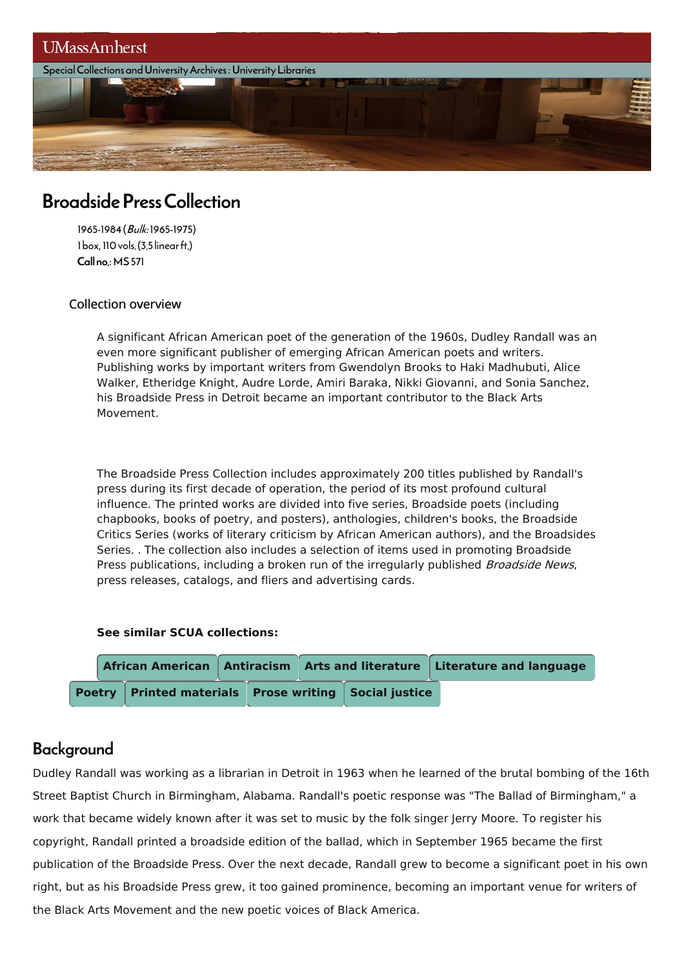

# BroadsidePressCollection

1965-1984(Bulk: 1965-1975) 1box,110vols.(3.5 linearft.) Call no.:MS571

#### Collection overview

A significant African American poet of the generation of the 1960s, Dudley Randall was an even more significant publisher of emerging African American poets and writers. Publishing works by important writers from Gwendolyn Brooks to Haki Madhubuti, Alice Walker, Etheridge Knight, Audre Lorde, Amiri Baraka, Nikki Giovanni, and Sonia Sanchez, his Broadside Press in Detroit became an important contributor to the Black Arts Movement.

The Broadside Press Collection includes approximately 200 titles published by Randall's press during its first decade of operation, the period of its most profound cultural influence. The printed works are divided into five series, Broadside poets (including chapbooks, books of poetry, and posters), anthologies, children's books, the Broadside Critics Series (works of literary criticism by African American authors), and the Broadsides Series. . The collection also includes a selection of items used in promoting Broadside Press publications, including a broken run of the irregularly published *Broadside News*, press releases, catalogs, and fliers and advertising cards.

#### **See similar SCUA collections:**



### **Background**

Dudley Randall was working as a librarian in Detroit in 1963 when he learned of the brutal bombing of the 16th Street Baptist Church in Birmingham, Alabama. Randall's poetic response was "The Ballad of Birmingham," a work that became widely known after it was set to music by the folk singer Jerry Moore. To register his copyright, Randall printed a broadside edition of the ballad, which in September 1965 became the first publication of the Broadside Press. Over the next decade, Randall grew to become a significant poet in his own right, but as his Broadside Press grew, it too gained prominence, becoming an important venue for writers of the Black Arts Movement and the new poetic voices of Black America.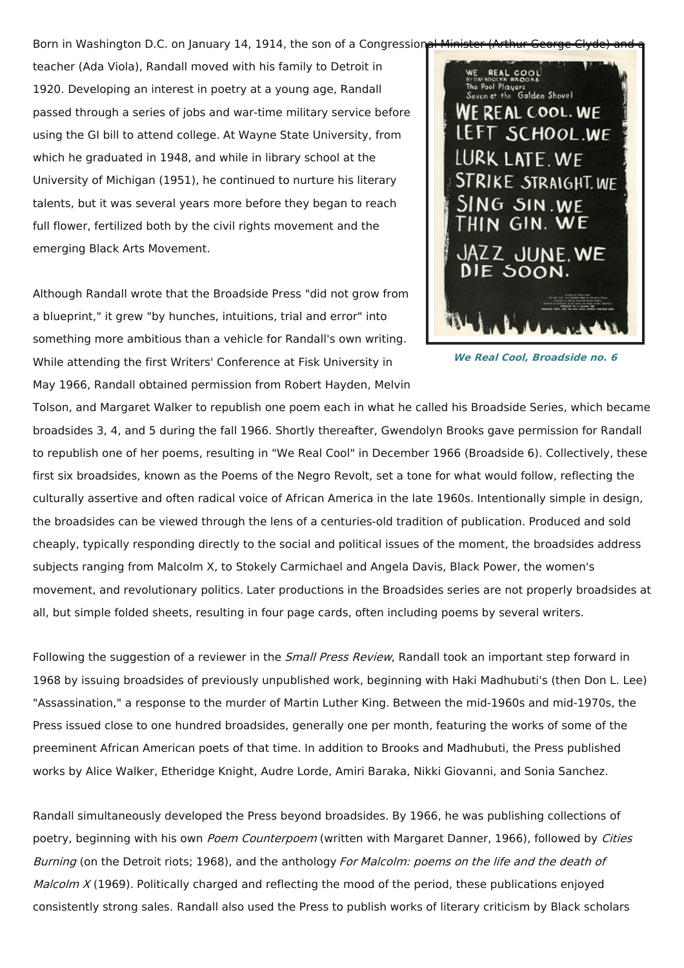Born in Washington D.C. on January 14, 1914, the son of a Congressional Minist

teacher (Ada Viola), Randall moved with his family to Detroit in 1920. Developing an interest in poetry at a young age, Randall passed through a series of jobs and war-time military service before using the GI bill to attend college. At Wayne State University, from which he graduated in 1948, and while in library school at the University of Michigan (1951), he continued to nurture his literary talents, but it was several years more before they began to reach full flower, fertilized both by the civil rights movement and the emerging Black Arts Movement.

Although Randall wrote that the Broadside Press "did not grow from a blueprint," it grew "by hunches, intuitions, trial and error" into something more ambitious than a vehicle for Randall's own writing. While attending the first Writers' Conference at Fisk University in May 1966, Randall obtained permission from Robert Hayden, Melvin



**We Real Cool, Broadside no. 6**

Tolson, and Margaret Walker to republish one poem each in what he called his Broadside Series, which became broadsides 3, 4, and 5 during the fall 1966. Shortly thereafter, Gwendolyn Brooks gave permission for Randall to republish one of her poems, resulting in "We Real Cool" in December 1966 (Broadside 6). Collectively, these first six broadsides, known as the Poems of the Negro Revolt, set a tone for what would follow, reflecting the culturally assertive and often radical voice of African America in the late 1960s. Intentionally simple in design, the broadsides can be viewed through the lens of a centuries-old tradition of publication. Produced and sold cheaply, typically responding directly to the social and political issues of the moment, the broadsides address subjects ranging from Malcolm X, to Stokely Carmichael and Angela Davis, Black Power, the women's movement, and revolutionary politics. Later productions in the Broadsides series are not properly broadsides at all, but simple folded sheets, resulting in four page cards, often including poems by several writers.

Following the suggestion of a reviewer in the *Small Press Review*, Randall took an important step forward in 1968 by issuing broadsides of previously unpublished work, beginning with Haki Madhubuti's (then Don L. Lee) "Assassination," a response to the murder of Martin Luther King. Between the mid-1960s and mid-1970s, the Press issued close to one hundred broadsides, generally one per month, featuring the works of some of the preeminent African American poets of that time. In addition to Brooks and Madhubuti, the Press published works by Alice Walker, Etheridge Knight, Audre Lorde, Amiri Baraka, Nikki Giovanni, and Sonia Sanchez.

Randall simultaneously developed the Press beyond broadsides. By 1966, he was publishing collections of poetry, beginning with his own Poem Counterpoem (written with Margaret Danner, 1966), followed by Cities Burning (on the Detroit riots; 1968), and the anthology For Malcolm: poems on the life and the death of Malcolm  $X$  (1969). Politically charged and reflecting the mood of the period, these publications enjoyed consistently strong sales. Randall also used the Press to publish works of literary criticism by Black scholars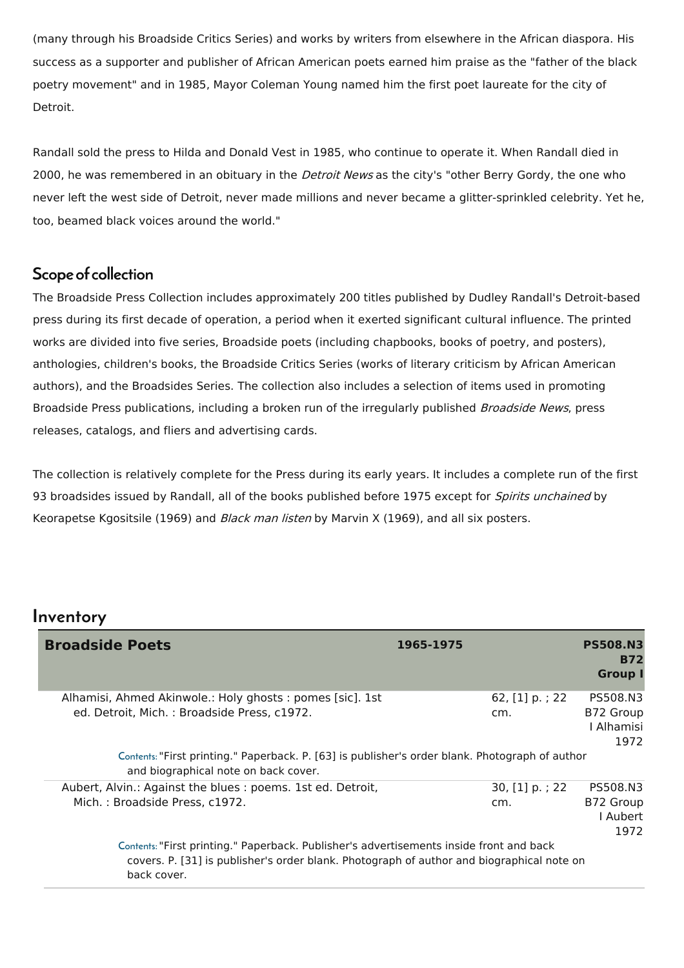(many through his Broadside Critics Series) and works by writers from elsewhere in the African diaspora. His success as a supporter and publisher of African American poets earned him praise as the "father of the black poetry movement" and in 1985, Mayor Coleman Young named him the first poet laureate for the city of Detroit.

Randall sold the press to Hilda and Donald Vest in 1985, who continue to operate it. When Randall died in 2000, he was remembered in an obituary in the *Detroit News* as the city's "other Berry Gordy, the one who never left the west side of Detroit, never made millions and never became a glitter-sprinkled celebrity. Yet he, too, beamed black voices around the world."

### Scope of collection

The Broadside Press Collection includes approximately 200 titles published by Dudley Randall's Detroit-based press during its first decade of operation, a period when it exerted significant cultural influence. The printed works are divided into five series, Broadside poets (including chapbooks, books of poetry, and posters), anthologies, children's books, the Broadside Critics Series (works of literary criticism by African American authors), and the Broadsides Series. The collection also includes a selection of items used in promoting Broadside Press publications, including a broken run of the irregularly published Broadside News, press releases, catalogs, and fliers and advertising cards.

The collection is relatively complete for the Press during its early years. It includes a complete run of the first 93 broadsides issued by Randall, all of the books published before 1975 except for Spirits unchained by Keorapetse Kgositsile (1969) and *Black man listen* by Marvin X (1969), and all six posters.

### Inventory

| <b>Broadside Poets</b>                                                                                                                                                                              | 1965-1975<br><b>PS508.N3</b><br><b>B72</b><br><b>Group I</b>         |
|-----------------------------------------------------------------------------------------------------------------------------------------------------------------------------------------------------|----------------------------------------------------------------------|
| Alhamisi, Ahmed Akinwole.: Holy ghosts: pomes [sic]. 1st<br>ed. Detroit, Mich.: Broadside Press, c1972.                                                                                             | 62, [1] p.; 22<br>PS508.N3<br>B72 Group<br>cm.<br>I Alhamisi<br>1972 |
| Contents: "First printing." Paperback. P. [63] is publisher's order blank. Photograph of author<br>and biographical note on back cover.                                                             |                                                                      |
| Aubert, Alvin.: Against the blues : poems. 1st ed. Detroit,<br>Mich.: Broadside Press, c1972.                                                                                                       | 30, [1] p.; 22<br>PS508.N3<br>B72 Group<br>cm.<br>l Aubert<br>1972   |
| Contents: "First printing." Paperback. Publisher's advertisements inside front and back<br>covers. P. [31] is publisher's order blank. Photograph of author and biographical note on<br>back cover. |                                                                      |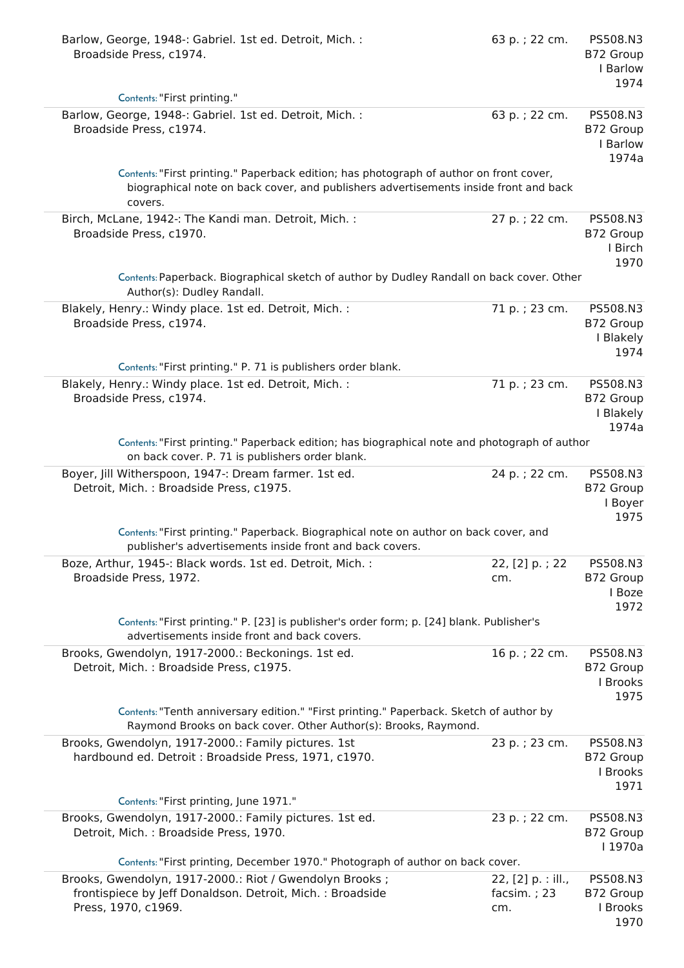| Barlow, George, 1948 -: Gabriel. 1st ed. Detroit, Mich. :<br>Broadside Press, c1974.<br>Contents: "First printing."                                                                        | 63 p.; 22 cm.                               | PS508.N3<br>B72 Group<br>I Barlow<br>1974   |
|--------------------------------------------------------------------------------------------------------------------------------------------------------------------------------------------|---------------------------------------------|---------------------------------------------|
|                                                                                                                                                                                            |                                             |                                             |
| Barlow, George, 1948 -: Gabriel. 1st ed. Detroit, Mich. :<br>Broadside Press, c1974.                                                                                                       | 63 p.; 22 cm.                               | PS508.N3<br>B72 Group<br>I Barlow<br>1974a  |
| Contents: "First printing." Paperback edition; has photograph of author on front cover,<br>biographical note on back cover, and publishers advertisements inside front and back<br>covers. |                                             |                                             |
| Birch, McLane, 1942 -: The Kandi man. Detroit, Mich. :<br>Broadside Press, c1970.                                                                                                          | 27 p.; 22 cm.                               | PS508.N3<br>B72 Group<br>I Birch<br>1970    |
| Contents: Paperback. Biographical sketch of author by Dudley Randall on back cover. Other<br>Author(s): Dudley Randall.                                                                    |                                             |                                             |
| Blakely, Henry.: Windy place. 1st ed. Detroit, Mich. :<br>Broadside Press, c1974.                                                                                                          | 71 p.; 23 cm.                               | PS508.N3<br>B72 Group<br>I Blakely<br>1974  |
| Contents: "First printing." P. 71 is publishers order blank.                                                                                                                               |                                             |                                             |
| Blakely, Henry.: Windy place. 1st ed. Detroit, Mich. :<br>Broadside Press, c1974.                                                                                                          | 71 p.; 23 cm.                               | PS508.N3<br>B72 Group<br>I Blakely<br>1974a |
| Contents: "First printing." Paperback edition; has biographical note and photograph of author<br>on back cover. P. 71 is publishers order blank.                                           |                                             |                                             |
| Boyer, Jill Witherspoon, 1947 -: Dream farmer. 1st ed.<br>Detroit, Mich.: Broadside Press, c1975.                                                                                          | 24 p.; 22 cm.                               | PS508.N3<br>B72 Group<br>I Boyer<br>1975    |
| Contents: "First printing." Paperback. Biographical note on author on back cover, and<br>publisher's advertisements inside front and back covers.                                          |                                             |                                             |
| Boze, Arthur, 1945 -: Black words. 1st ed. Detroit, Mich. :<br>Broadside Press, 1972.                                                                                                      | 22, [2] p.; 22<br>cm.                       | PS508.N3<br>B72 Group<br>I Boze<br>1972     |
| Contents: "First printing." P. [23] is publisher's order form; p. [24] blank. Publisher's<br>advertisements inside front and back covers.                                                  |                                             |                                             |
| Brooks, Gwendolyn, 1917-2000.: Beckonings. 1st ed.<br>Detroit, Mich.: Broadside Press, c1975.                                                                                              | 16 p.; 22 cm.                               | PS508.N3<br>B72 Group<br>I Brooks<br>1975   |
| Contents: "Tenth anniversary edition." "First printing." Paperback. Sketch of author by<br>Raymond Brooks on back cover. Other Author(s): Brooks, Raymond.                                 |                                             |                                             |
| Brooks, Gwendolyn, 1917-2000.: Family pictures. 1st<br>hardbound ed. Detroit : Broadside Press, 1971, c1970.                                                                               | 23 p.; 23 cm.                               | PS508.N3<br>B72 Group<br>I Brooks<br>1971   |
| Contents: "First printing, June 1971."                                                                                                                                                     |                                             |                                             |
| Brooks, Gwendolyn, 1917-2000.: Family pictures. 1st ed.<br>Detroit, Mich.: Broadside Press, 1970.                                                                                          | 23 p.; 22 cm.                               | PS508.N3<br>B72 Group<br>  1970a            |
| Contents: "First printing, December 1970." Photograph of author on back cover.                                                                                                             |                                             |                                             |
| Brooks, Gwendolyn, 1917-2000.: Riot / Gwendolyn Brooks ;<br>frontispiece by Jeff Donaldson. Detroit, Mich.: Broadside<br>Press, 1970, c1969.                                               | 22, [2] p. : ill.,<br>facsim. $; 23$<br>cm. | PS508.N3<br>B72 Group<br>I Brooks<br>1970   |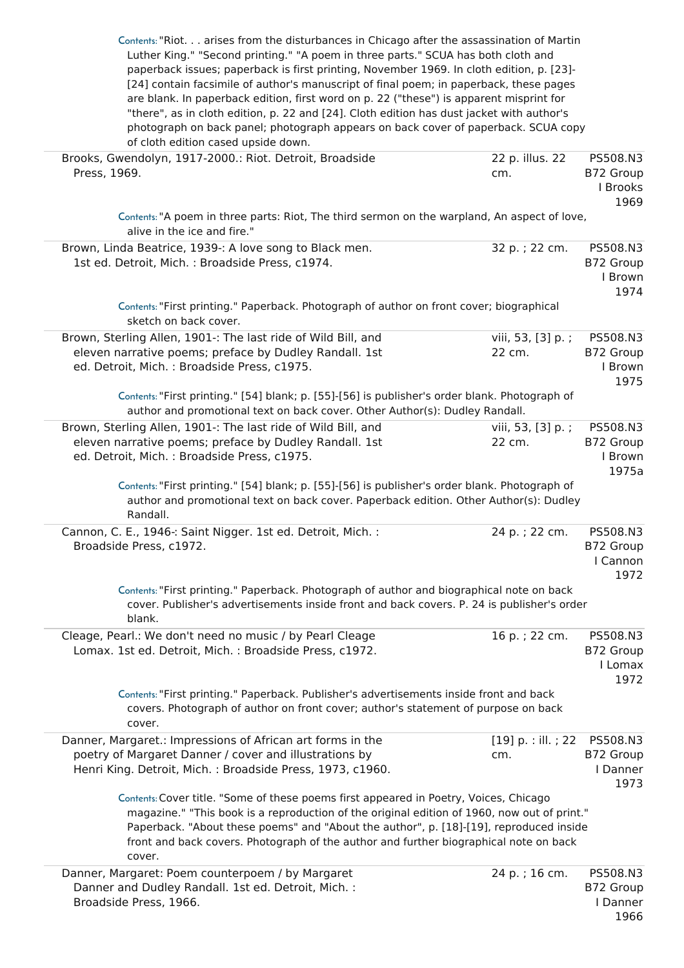|                                                                                                                                                                                       | Contents: "Riot arises from the disturbances in Chicago after the assassination of Martin |                  |
|---------------------------------------------------------------------------------------------------------------------------------------------------------------------------------------|-------------------------------------------------------------------------------------------|------------------|
| Luther King." "Second printing." "A poem in three parts." SCUA has both cloth and                                                                                                     |                                                                                           |                  |
| paperback issues; paperback is first printing, November 1969. In cloth edition, p. [23]-                                                                                              |                                                                                           |                  |
| [24] contain facsimile of author's manuscript of final poem; in paperback, these pages<br>are blank. In paperback edition, first word on p. 22 ("these") is apparent misprint for     |                                                                                           |                  |
| "there", as in cloth edition, p. 22 and [24]. Cloth edition has dust jacket with author's                                                                                             |                                                                                           |                  |
| photograph on back panel; photograph appears on back cover of paperback. SCUA copy                                                                                                    |                                                                                           |                  |
| of cloth edition cased upside down.                                                                                                                                                   |                                                                                           |                  |
| Brooks, Gwendolyn, 1917-2000.: Riot. Detroit, Broadside                                                                                                                               | 22 p. illus. 22                                                                           | PS508.N3         |
| Press, 1969.                                                                                                                                                                          | cm.                                                                                       | B72 Group        |
|                                                                                                                                                                                       |                                                                                           | I Brooks         |
|                                                                                                                                                                                       |                                                                                           | 1969             |
| Contents: "A poem in three parts: Riot, The third sermon on the warpland, An aspect of love,                                                                                          |                                                                                           |                  |
| alive in the ice and fire."                                                                                                                                                           |                                                                                           |                  |
| Brown, Linda Beatrice, 1939 -: A love song to Black men.                                                                                                                              | 32 p. ; 22 cm.                                                                            | PS508.N3         |
| 1st ed. Detroit, Mich. : Broadside Press, c1974.                                                                                                                                      |                                                                                           | B72 Group        |
|                                                                                                                                                                                       |                                                                                           | I Brown          |
| Contents: "First printing." Paperback. Photograph of author on front cover; biographical                                                                                              |                                                                                           | 1974             |
| sketch on back cover.                                                                                                                                                                 |                                                                                           |                  |
| Brown, Sterling Allen, 1901 -: The last ride of Wild Bill, and                                                                                                                        | viii, 53, [3] p.;                                                                         | PS508.N3         |
| eleven narrative poems; preface by Dudley Randall. 1st                                                                                                                                | 22 cm.                                                                                    | B72 Group        |
| ed. Detroit, Mich. : Broadside Press, c1975.                                                                                                                                          |                                                                                           | I Brown          |
|                                                                                                                                                                                       |                                                                                           | 1975             |
| Contents: "First printing." [54] blank; p. [55]-[56] is publisher's order blank. Photograph of                                                                                        |                                                                                           |                  |
| author and promotional text on back cover. Other Author(s): Dudley Randall.                                                                                                           |                                                                                           |                  |
| Brown, Sterling Allen, 1901 -: The last ride of Wild Bill, and                                                                                                                        | viii, 53, [3] p.;                                                                         | PS508.N3         |
| eleven narrative poems; preface by Dudley Randall. 1st                                                                                                                                | 22 cm.                                                                                    | B72 Group        |
| ed. Detroit, Mich. : Broadside Press, c1975.                                                                                                                                          |                                                                                           | I Brown          |
|                                                                                                                                                                                       |                                                                                           | 1975a            |
| Contents: "First printing." [54] blank; p. [55]-[56] is publisher's order blank. Photograph of                                                                                        |                                                                                           |                  |
| author and promotional text on back cover. Paperback edition. Other Author(s): Dudley<br>Randall.                                                                                     |                                                                                           |                  |
|                                                                                                                                                                                       |                                                                                           |                  |
|                                                                                                                                                                                       |                                                                                           |                  |
| Cannon, C. E., 1946 -: Saint Nigger. 1st ed. Detroit, Mich. :                                                                                                                         | 24 p.; 22 cm.                                                                             | PS508.N3         |
| Broadside Press, c1972.                                                                                                                                                               |                                                                                           | B72 Group        |
|                                                                                                                                                                                       |                                                                                           | I Cannon         |
|                                                                                                                                                                                       |                                                                                           | 1972             |
| Contents: "First printing." Paperback. Photograph of author and biographical note on back                                                                                             |                                                                                           |                  |
| cover. Publisher's advertisements inside front and back covers. P. 24 is publisher's order<br>blank.                                                                                  |                                                                                           |                  |
| Cleage, Pearl.: We don't need no music / by Pearl Cleage                                                                                                                              | 16 p.; 22 cm.                                                                             | PS508.N3         |
| Lomax. 1st ed. Detroit, Mich. : Broadside Press, c1972.                                                                                                                               |                                                                                           | B72 Group        |
|                                                                                                                                                                                       |                                                                                           | I Lomax          |
|                                                                                                                                                                                       |                                                                                           | 1972             |
| Contents: "First printing." Paperback. Publisher's advertisements inside front and back                                                                                               |                                                                                           |                  |
| covers. Photograph of author on front cover; author's statement of purpose on back                                                                                                    |                                                                                           |                  |
| cover.                                                                                                                                                                                |                                                                                           |                  |
| Danner, Margaret.: Impressions of African art forms in the                                                                                                                            | $[19]$ p. : ill. ; 22                                                                     | PS508.N3         |
| poetry of Margaret Danner / cover and illustrations by                                                                                                                                | cm.                                                                                       | B72 Group        |
| Henri King. Detroit, Mich.: Broadside Press, 1973, c1960.                                                                                                                             |                                                                                           | I Danner         |
|                                                                                                                                                                                       |                                                                                           | 1973             |
| Contents: Cover title. "Some of these poems first appeared in Poetry, Voices, Chicago                                                                                                 |                                                                                           |                  |
| magazine." "This book is a reproduction of the original edition of 1960, now out of print."<br>Paperback. "About these poems" and "About the author", p. [18]-[19], reproduced inside |                                                                                           |                  |
| front and back covers. Photograph of the author and further biographical note on back                                                                                                 |                                                                                           |                  |
| cover.                                                                                                                                                                                |                                                                                           |                  |
| Danner, Margaret: Poem counterpoem / by Margaret                                                                                                                                      | 24 p.; 16 cm.                                                                             | PS508.N3         |
| Danner and Dudley Randall. 1st ed. Detroit, Mich. :                                                                                                                                   |                                                                                           | B72 Group        |
| Broadside Press, 1966.                                                                                                                                                                |                                                                                           | I Danner<br>1966 |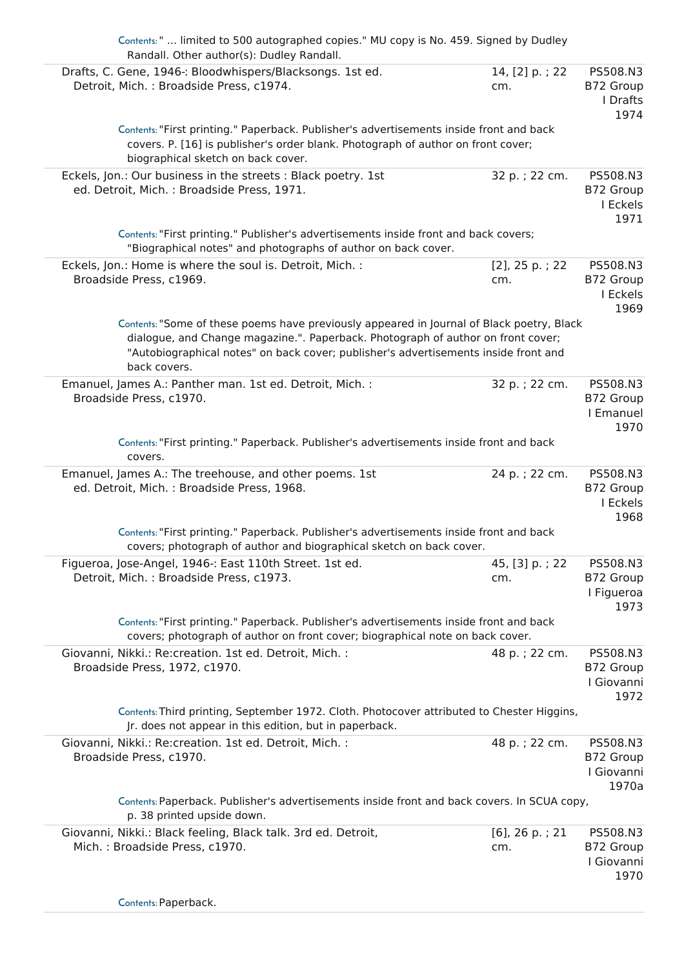| Contents: "  limited to 500 autographed copies." MU copy is No. 459. Signed by Dudley<br>Randall. Other author(s): Dudley Randall.<br>Drafts, C. Gene, 1946 -: Bloodwhispers/Blacksongs. 1st ed.                                                                                     | 14, [2] p.; 22           | PS508.N3                                     |
|--------------------------------------------------------------------------------------------------------------------------------------------------------------------------------------------------------------------------------------------------------------------------------------|--------------------------|----------------------------------------------|
| Detroit, Mich.: Broadside Press, c1974.                                                                                                                                                                                                                                              | cm.                      | B72 Group<br>I Drafts<br>1974                |
| Contents: "First printing." Paperback. Publisher's advertisements inside front and back<br>covers. P. [16] is publisher's order blank. Photograph of author on front cover;<br>biographical sketch on back cover.                                                                    |                          |                                              |
| Eckels, Jon.: Our business in the streets : Black poetry. 1st                                                                                                                                                                                                                        | 32 p. ; 22 cm.           | PS508.N3                                     |
| ed. Detroit, Mich.: Broadside Press, 1971.                                                                                                                                                                                                                                           |                          | B72 Group<br>I Eckels<br>1971                |
| Contents: "First printing." Publisher's advertisements inside front and back covers;<br>"Biographical notes" and photographs of author on back cover.                                                                                                                                |                          |                                              |
| Eckels, Jon.: Home is where the soul is. Detroit, Mich. :<br>Broadside Press, c1969.                                                                                                                                                                                                 | $[2]$ , 25 p.; 22<br>cm. | PS508.N3<br>B72 Group<br>I Eckels<br>1969    |
| Contents: "Some of these poems have previously appeared in Journal of Black poetry, Black<br>dialogue, and Change magazine.". Paperback. Photograph of author on front cover;<br>"Autobiographical notes" on back cover; publisher's advertisements inside front and<br>back covers. |                          |                                              |
| Emanuel, James A.: Panther man. 1st ed. Detroit, Mich. :<br>Broadside Press, c1970.                                                                                                                                                                                                  | 32 p.; 22 cm.            | PS508.N3<br>B72 Group<br>I Emanuel<br>1970   |
| Contents: "First printing." Paperback. Publisher's advertisements inside front and back<br>covers.                                                                                                                                                                                   |                          |                                              |
| Emanuel, James A.: The treehouse, and other poems. 1st<br>ed. Detroit, Mich.: Broadside Press, 1968.                                                                                                                                                                                 | 24 p.; 22 cm.            | PS508.N3<br>B72 Group<br>I Eckels<br>1968    |
| Contents: "First printing." Paperback. Publisher's advertisements inside front and back<br>covers; photograph of author and biographical sketch on back cover.                                                                                                                       |                          |                                              |
| Figueroa, Jose-Angel, 1946 -: East 110th Street. 1st ed.<br>Detroit, Mich.: Broadside Press, c1973.                                                                                                                                                                                  | 45, [3] p.; 22<br>cm.    | PS508.N3<br>B72 Group<br>I Figueroa<br>1973  |
| Contents: "First printing." Paperback. Publisher's advertisements inside front and back<br>covers; photograph of author on front cover; biographical note on back cover.                                                                                                             |                          |                                              |
| Giovanni, Nikki.: Re:creation. 1st ed. Detroit, Mich. :<br>Broadside Press, 1972, c1970.                                                                                                                                                                                             | 48 p.; 22 cm.            | PS508.N3<br>B72 Group<br>I Giovanni<br>1972  |
| Contents: Third printing, September 1972. Cloth. Photocover attributed to Chester Higgins,<br>Jr. does not appear in this edition, but in paperback.                                                                                                                                 |                          |                                              |
| Giovanni, Nikki.: Re:creation. 1st ed. Detroit, Mich. :<br>Broadside Press, c1970.                                                                                                                                                                                                   | 48 p.; 22 cm.            | PS508.N3<br>B72 Group<br>I Giovanni<br>1970a |
| Contents: Paperback. Publisher's advertisements inside front and back covers. In SCUA copy,<br>p. 38 printed upside down.                                                                                                                                                            |                          |                                              |
| Giovanni, Nikki.: Black feeling, Black talk. 3rd ed. Detroit,<br>Mich.: Broadside Press, c1970.                                                                                                                                                                                      | $[6]$ , 26 p.; 21<br>cm. | PS508.N3<br>B72 Group<br>I Giovanni<br>1970  |
| Contents: Paperback.                                                                                                                                                                                                                                                                 |                          |                                              |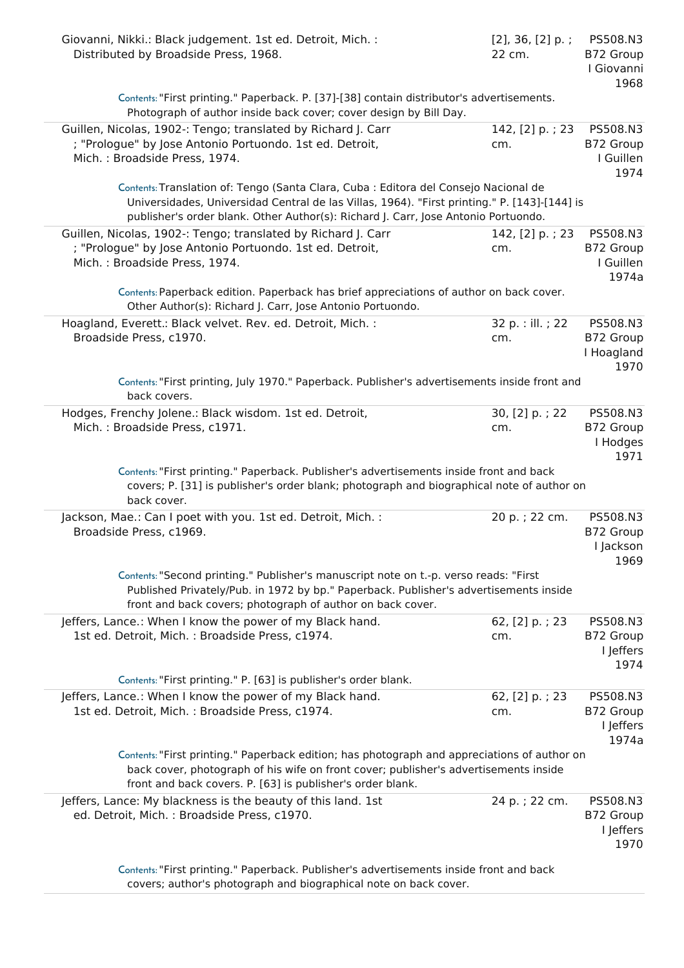| Distributed by Broadside Press, 1968.                                                                                                                                                                                                              | $[2]$ , 36, $[2]$ p.;<br>22 cm. | PS508.N3<br>B72 Group<br>I Giovanni<br>1968 |
|----------------------------------------------------------------------------------------------------------------------------------------------------------------------------------------------------------------------------------------------------|---------------------------------|---------------------------------------------|
| Contents: "First printing." Paperback. P. [37]-[38] contain distributor's advertisements.<br>Photograph of author inside back cover; cover design by Bill Day.                                                                                     |                                 |                                             |
| Guillen, Nicolas, 1902 -: Tengo; translated by Richard J. Carr<br>; "Prologue" by Jose Antonio Portuondo. 1st ed. Detroit,<br>Mich.: Broadside Press, 1974.                                                                                        | 142, [2] p.; 23<br>cm.          | PS508.N3<br>B72 Group<br>I Guillen<br>1974  |
| Contents: Translation of: Tengo (Santa Clara, Cuba : Editora del Consejo Nacional de<br>Universidades, Universidad Central de las Villas, 1964). "First printing." P. [143]-[144] is                                                               |                                 |                                             |
| publisher's order blank. Other Author(s): Richard J. Carr, Jose Antonio Portuondo.                                                                                                                                                                 |                                 |                                             |
| Guillen, Nicolas, 1902 -: Tengo; translated by Richard J. Carr<br>; "Prologue" by Jose Antonio Portuondo. 1st ed. Detroit,<br>Mich.: Broadside Press, 1974.                                                                                        | 142, [2] p.; 23<br>cm.          | PS508.N3<br>B72 Group<br>I Guillen<br>1974a |
| Contents: Paperback edition. Paperback has brief appreciations of author on back cover.<br>Other Author(s): Richard J. Carr, Jose Antonio Portuondo.                                                                                               |                                 |                                             |
| Hoagland, Everett.: Black velvet. Rev. ed. Detroit, Mich. :<br>Broadside Press, c1970.                                                                                                                                                             | 32 p. : ill. ; 22<br>cm.        | PS508.N3<br>B72 Group<br>I Hoagland<br>1970 |
| Contents: "First printing, July 1970." Paperback. Publisher's advertisements inside front and<br>back covers.                                                                                                                                      |                                 |                                             |
| Hodges, Frenchy Jolene.: Black wisdom. 1st ed. Detroit,<br>Mich.: Broadside Press, c1971.                                                                                                                                                          | 30, [2] p.; 22<br>cm.           | PS508.N3<br>B72 Group<br>I Hodges<br>1971   |
| Contents: "First printing." Paperback. Publisher's advertisements inside front and back<br>covers; P. [31] is publisher's order blank; photograph and biographical note of author on<br>back cover.                                                |                                 |                                             |
|                                                                                                                                                                                                                                                    |                                 |                                             |
| Jackson, Mae.: Can I poet with you. 1st ed. Detroit, Mich. :<br>Broadside Press, c1969.                                                                                                                                                            | 20 p.; 22 cm.                   | PS508.N3<br>B72 Group<br>I Jackson          |
| Contents: "Second printing." Publisher's manuscript note on t.-p. verso reads: "First<br>Published Privately/Pub. in 1972 by bp." Paperback. Publisher's advertisements inside                                                                     |                                 | 1969                                        |
| front and back covers; photograph of author on back cover.                                                                                                                                                                                         |                                 |                                             |
| Jeffers, Lance.: When I know the power of my Black hand.<br>1st ed. Detroit, Mich.: Broadside Press, c1974.                                                                                                                                        | 62, [2] p.; 23<br>cm.           | PS508.N3<br>B72 Group<br>I Jeffers          |
| Contents: "First printing." P. [63] is publisher's order blank.                                                                                                                                                                                    |                                 | 1974                                        |
| Jeffers, Lance.: When I know the power of my Black hand.                                                                                                                                                                                           | 62, [2] p.; 23                  | PS508.N3                                    |
| 1st ed. Detroit, Mich. : Broadside Press, c1974.                                                                                                                                                                                                   | cm.                             | B72 Group<br>I Jeffers<br>1974a             |
| Contents: "First printing." Paperback edition; has photograph and appreciations of author on<br>back cover, photograph of his wife on front cover; publisher's advertisements inside<br>front and back covers. P. [63] is publisher's order blank. |                                 |                                             |
| Jeffers, Lance: My blackness is the beauty of this land. 1st<br>ed. Detroit, Mich. : Broadside Press, c1970.                                                                                                                                       | 24 p.; 22 cm.                   | PS508.N3<br>B72 Group<br>I Jeffers<br>1970  |

covers; author's photograph and biographical note on back cover.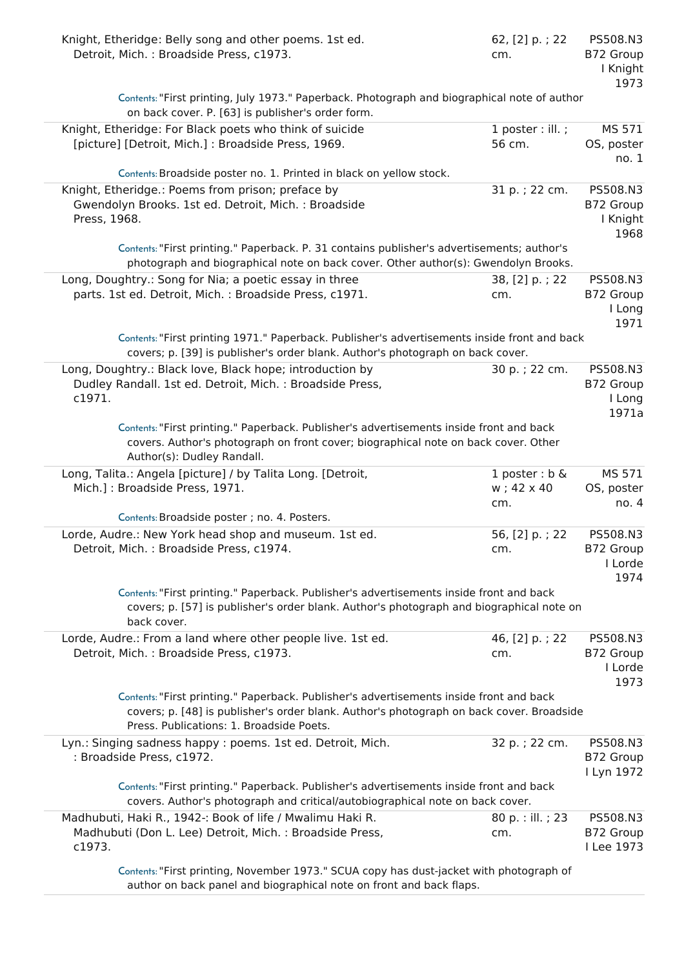| Knight, Etheridge: Belly song and other poems. 1st ed.<br>Detroit, Mich.: Broadside Press, c1973.                                                                                                                               | 62, [2] p.; 22<br>cm.                  | PS508.N3<br>B72 Group<br>I Knight<br>1973 |
|---------------------------------------------------------------------------------------------------------------------------------------------------------------------------------------------------------------------------------|----------------------------------------|-------------------------------------------|
| Contents: "First printing, July 1973." Paperback. Photograph and biographical note of author<br>on back cover. P. [63] is publisher's order form.                                                                               |                                        |                                           |
| Knight, Etheridge: For Black poets who think of suicide<br>[picture] [Detroit, Mich.] : Broadside Press, 1969.                                                                                                                  | $1$ poster : ill. ;<br>56 cm.          | MS 571<br>OS, poster<br>no.1              |
| Contents: Broadside poster no. 1. Printed in black on yellow stock.                                                                                                                                                             |                                        |                                           |
| Knight, Etheridge.: Poems from prison; preface by<br>Gwendolyn Brooks. 1st ed. Detroit, Mich. : Broadside<br>Press, 1968.                                                                                                       | 31 p.; 22 cm.                          | PS508.N3<br>B72 Group<br>I Knight<br>1968 |
| Contents: "First printing." Paperback. P. 31 contains publisher's advertisements; author's<br>photograph and biographical note on back cover. Other author(s): Gwendolyn Brooks.                                                |                                        |                                           |
| Long, Doughtry.: Song for Nia; a poetic essay in three<br>parts. 1st ed. Detroit, Mich. : Broadside Press, c1971.                                                                                                               | 38, [2] p.; 22<br>cm.                  | PS508.N3<br>B72 Group<br>I Long<br>1971   |
| Contents: "First printing 1971." Paperback. Publisher's advertisements inside front and back<br>covers; p. [39] is publisher's order blank. Author's photograph on back cover.                                                  |                                        |                                           |
| Long, Doughtry.: Black love, Black hope; introduction by<br>Dudley Randall. 1st ed. Detroit, Mich. : Broadside Press,<br>c1971.                                                                                                 | 30 p.; 22 cm.                          | PS508.N3<br>B72 Group<br>I Long<br>1971a  |
| Contents: "First printing." Paperback. Publisher's advertisements inside front and back<br>covers. Author's photograph on front cover; biographical note on back cover. Other<br>Author(s): Dudley Randall.                     |                                        |                                           |
| Long, Talita.: Angela [picture] / by Talita Long. [Detroit,<br>Mich.]: Broadside Press, 1971.                                                                                                                                   | 1 poster : $b \&$<br>w; 42 x 40<br>cm. | MS 571<br>OS, poster<br>no.4              |
| Contents: Broadside poster ; no. 4. Posters.                                                                                                                                                                                    |                                        |                                           |
| Lorde, Audre.: New York head shop and museum. 1st ed.<br>Detroit, Mich.: Broadside Press, c1974.                                                                                                                                | 56, [2] p.; 22<br>cm.                  | PS508.N3<br>B72 Group<br>I Lorde<br>1974  |
| Contents: "First printing." Paperback. Publisher's advertisements inside front and back<br>covers; p. [57] is publisher's order blank. Author's photograph and biographical note on<br>back cover.                              |                                        |                                           |
| Lorde, Audre.: From a land where other people live. 1st ed.<br>Detroit, Mich.: Broadside Press, c1973.                                                                                                                          | 46, [2] p.; 22<br>cm.                  | PS508.N3<br>B72 Group<br>I Lorde<br>1973  |
| Contents: "First printing." Paperback. Publisher's advertisements inside front and back<br>covers; p. [48] is publisher's order blank. Author's photograph on back cover. Broadside<br>Press. Publications: 1. Broadside Poets. |                                        |                                           |
| Lyn.: Singing sadness happy : poems. 1st ed. Detroit, Mich.<br>: Broadside Press, c1972.                                                                                                                                        | 32 p.; 22 cm.                          | PS508.N3<br>B72 Group<br>I Lyn 1972       |
| Contents: "First printing." Paperback. Publisher's advertisements inside front and back<br>covers. Author's photograph and critical/autobiographical note on back cover.                                                        |                                        |                                           |
| Madhubuti, Haki R., 1942 -: Book of life / Mwalimu Haki R.<br>Madhubuti (Don L. Lee) Detroit, Mich.: Broadside Press,<br>c1973.                                                                                                 | 80 p. : ill. ; 23<br>cm.               | PS508.N3<br>B72 Group<br>I Lee 1973       |
| Contents: "First printing, November 1973." SCUA copy has dust-jacket with photograph of<br>author on back panel and biographical note on front and back flaps.                                                                  |                                        |                                           |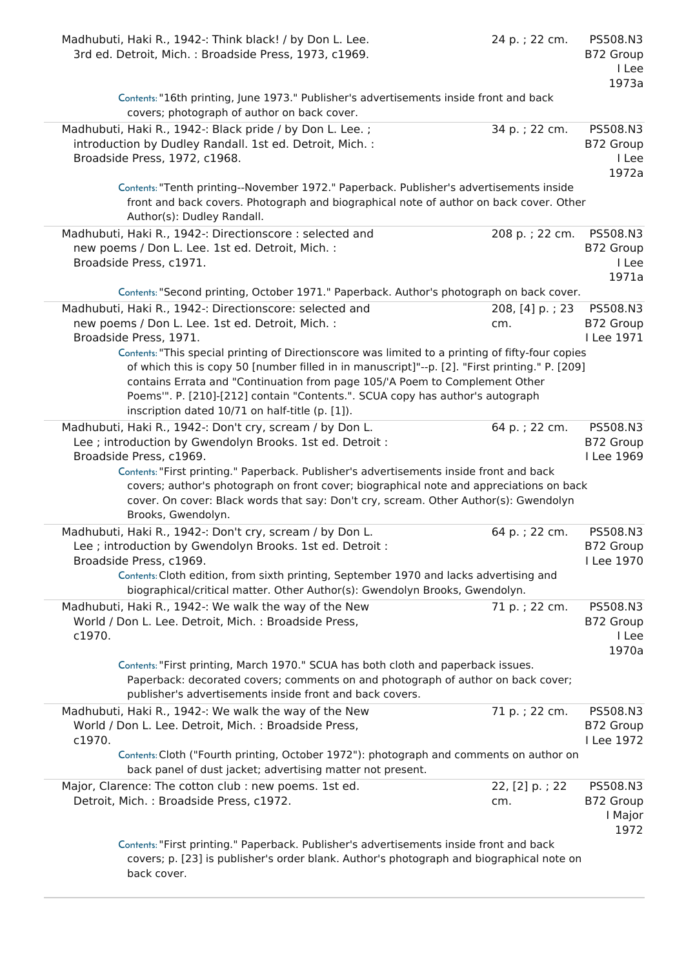| Madhubuti, Haki R., 1942 -: Think black! / by Don L. Lee.<br>3rd ed. Detroit, Mich.: Broadside Press, 1973, c1969.                                                                                                                                                                                                                                                                                                                                    | 24 p.; 22 cm.          | PS508.N3<br>B72 Group<br>I Lee<br>1973a  |
|-------------------------------------------------------------------------------------------------------------------------------------------------------------------------------------------------------------------------------------------------------------------------------------------------------------------------------------------------------------------------------------------------------------------------------------------------------|------------------------|------------------------------------------|
| Contents: "16th printing, June 1973." Publisher's advertisements inside front and back<br>covers; photograph of author on back cover.                                                                                                                                                                                                                                                                                                                 |                        |                                          |
| Madhubuti, Haki R., 1942 -: Black pride / by Don L. Lee.;<br>introduction by Dudley Randall. 1st ed. Detroit, Mich. :<br>Broadside Press, 1972, c1968.                                                                                                                                                                                                                                                                                                | 34 p.; 22 cm.          | PS508.N3<br>B72 Group<br>I Lee<br>1972a  |
| Contents: "Tenth printing--November 1972." Paperback. Publisher's advertisements inside<br>front and back covers. Photograph and biographical note of author on back cover. Other<br>Author(s): Dudley Randall.                                                                                                                                                                                                                                       |                        |                                          |
| Madhubuti, Haki R., 1942 -: Directionscore : selected and<br>new poems / Don L. Lee. 1st ed. Detroit, Mich. :<br>Broadside Press, c1971.                                                                                                                                                                                                                                                                                                              | 208 p.; 22 cm.         | PS508.N3<br>B72 Group<br>I Lee<br>1971a  |
| Contents: "Second printing, October 1971." Paperback. Author's photograph on back cover.                                                                                                                                                                                                                                                                                                                                                              |                        |                                          |
| Madhubuti, Haki R., 1942 -: Directionscore: selected and<br>new poems / Don L. Lee. 1st ed. Detroit, Mich. :<br>Broadside Press, 1971.                                                                                                                                                                                                                                                                                                                | 208, [4] p.; 23<br>cm. | PS508.N3<br>B72 Group<br>I Lee 1971      |
| Contents: "This special printing of Directionscore was limited to a printing of fifty-four copies<br>of which this is copy 50 [number filled in in manuscript]"--p. [2]. "First printing." P. [209]<br>contains Errata and "Continuation from page 105/'A Poem to Complement Other<br>Poems"". P. [210]-[212] contain "Contents.". SCUA copy has author's autograph<br>inscription dated 10/71 on half-title (p. [1]).                                |                        |                                          |
| Madhubuti, Haki R., 1942 -: Don't cry, scream / by Don L.<br>Lee ; introduction by Gwendolyn Brooks. 1st ed. Detroit :<br>Broadside Press, c1969.<br>Contents: "First printing." Paperback. Publisher's advertisements inside front and back<br>covers; author's photograph on front cover; biographical note and appreciations on back<br>cover. On cover: Black words that say: Don't cry, scream. Other Author(s): Gwendolyn<br>Brooks, Gwendolyn. | 64 p.; 22 cm.          | PS508.N3<br>B72 Group<br>I Lee 1969      |
| Madhubuti, Haki R., 1942 -: Don't cry, scream / by Don L.<br>Lee ; introduction by Gwendolyn Brooks. 1st ed. Detroit :<br>Broadside Press, c1969.                                                                                                                                                                                                                                                                                                     | 64 p.; 22 cm.          | PS508.N3<br>B72 Group<br>I Lee 1970      |
| Contents: Cloth edition, from sixth printing, September 1970 and lacks advertising and<br>biographical/critical matter. Other Author(s): Gwendolyn Brooks, Gwendolyn.                                                                                                                                                                                                                                                                                 |                        |                                          |
| Madhubuti, Haki R., 1942 -: We walk the way of the New<br>World / Don L. Lee. Detroit, Mich. : Broadside Press,<br>c1970.                                                                                                                                                                                                                                                                                                                             | 71 p.; 22 cm.          | PS508.N3<br>B72 Group<br>I Lee<br>1970a  |
| Contents: "First printing, March 1970." SCUA has both cloth and paperback issues.<br>Paperback: decorated covers; comments on and photograph of author on back cover;<br>publisher's advertisements inside front and back covers.                                                                                                                                                                                                                     |                        |                                          |
| Madhubuti, Haki R., 1942 -: We walk the way of the New<br>World / Don L. Lee. Detroit, Mich. : Broadside Press,<br>c1970.                                                                                                                                                                                                                                                                                                                             | 71 p.; 22 cm.          | PS508.N3<br>B72 Group<br>I Lee 1972      |
| Contents: Cloth ("Fourth printing, October 1972"): photograph and comments on author on<br>back panel of dust jacket; advertising matter not present.                                                                                                                                                                                                                                                                                                 |                        |                                          |
| Major, Clarence: The cotton club : new poems. 1st ed.<br>Detroit, Mich.: Broadside Press, c1972.                                                                                                                                                                                                                                                                                                                                                      | 22, [2] p.; 22<br>cm.  | PS508.N3<br>B72 Group<br>I Major<br>1972 |
| Contents: "First printing." Paperback. Publisher's advertisements inside front and back<br>covers; p. [23] is publisher's order blank. Author's photograph and biographical note on<br>back cover.                                                                                                                                                                                                                                                    |                        |                                          |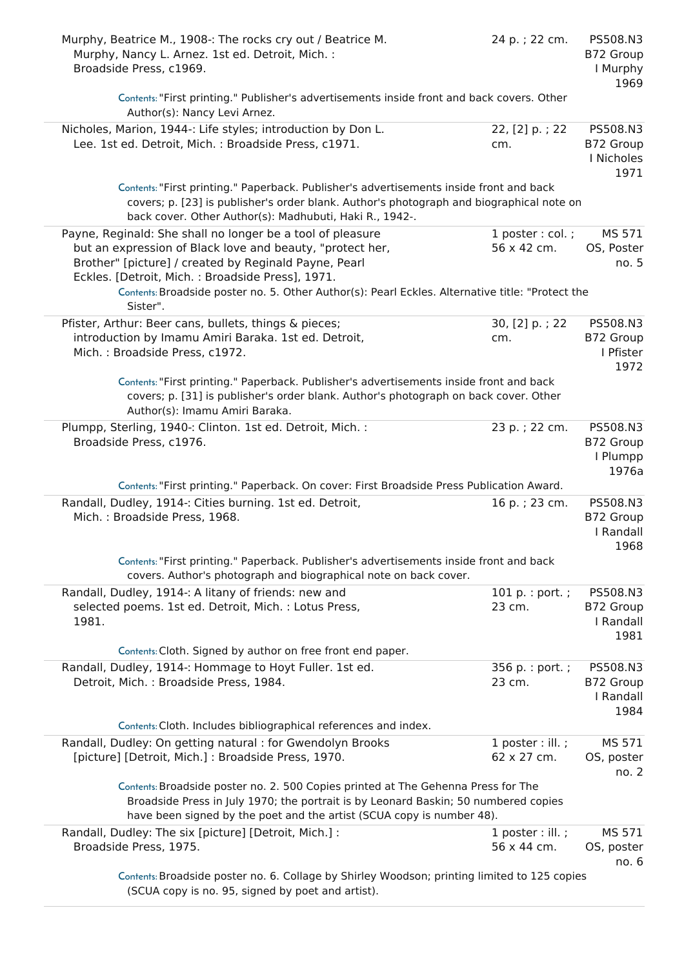| Murphy, Beatrice M., 1908 -: The rocks cry out / Beatrice M.<br>Murphy, Nancy L. Arnez. 1st ed. Detroit, Mich. :<br>Broadside Press, c1969.                                                                                                                                                                                              | 24 p.; 22 cm.                      | PS508.N3<br>B72 Group<br>I Murphy<br>1969   |
|------------------------------------------------------------------------------------------------------------------------------------------------------------------------------------------------------------------------------------------------------------------------------------------------------------------------------------------|------------------------------------|---------------------------------------------|
| Contents: "First printing." Publisher's advertisements inside front and back covers. Other<br>Author(s): Nancy Levi Arnez.                                                                                                                                                                                                               |                                    |                                             |
| Nicholes, Marion, 1944 -: Life styles; introduction by Don L.<br>Lee. 1st ed. Detroit, Mich. : Broadside Press, c1971.                                                                                                                                                                                                                   | 22, [2] p.; 22<br>cm.              | PS508.N3<br>B72 Group<br>I Nicholes<br>1971 |
| Contents: "First printing." Paperback. Publisher's advertisements inside front and back<br>covers; p. [23] is publisher's order blank. Author's photograph and biographical note on<br>back cover. Other Author(s): Madhubuti, Haki R., 1942-.                                                                                           |                                    |                                             |
| Payne, Reginald: She shall no longer be a tool of pleasure<br>but an expression of Black love and beauty, "protect her,<br>Brother" [picture] / created by Reginald Payne, Pearl<br>Eckles. [Detroit, Mich.: Broadside Press], 1971.<br>Contents: Broadside poster no. 5. Other Author(s): Pearl Eckles. Alternative title: "Protect the | $1$ poster : col. ;<br>56 x 42 cm. | MS 571<br>OS, Poster<br>no. 5               |
| Sister".                                                                                                                                                                                                                                                                                                                                 |                                    |                                             |
| Pfister, Arthur: Beer cans, bullets, things & pieces;<br>introduction by Imamu Amiri Baraka. 1st ed. Detroit,<br>Mich.: Broadside Press, c1972.                                                                                                                                                                                          | 30, [2] p.; 22<br>cm.              | PS508.N3<br>B72 Group<br>I Pfister<br>1972  |
| Contents: "First printing." Paperback. Publisher's advertisements inside front and back<br>covers; p. [31] is publisher's order blank. Author's photograph on back cover. Other<br>Author(s): Imamu Amiri Baraka.                                                                                                                        |                                    |                                             |
| Plumpp, Sterling, 1940 -: Clinton. 1st ed. Detroit, Mich. :<br>Broadside Press, c1976.                                                                                                                                                                                                                                                   | 23 p.; 22 cm.                      | PS508.N3<br>B72 Group<br>I Plumpp<br>1976a  |
| Contents: "First printing." Paperback. On cover: First Broadside Press Publication Award.                                                                                                                                                                                                                                                |                                    |                                             |
| Randall, Dudley, 1914 -: Cities burning. 1st ed. Detroit,<br>Mich.: Broadside Press, 1968.                                                                                                                                                                                                                                               | 16 p.; 23 cm.                      | PS508.N3<br>B72 Group<br>I Randall<br>1968  |
| Contents: "First printing." Paperback. Publisher's advertisements inside front and back<br>covers. Author's photograph and biographical note on back cover.                                                                                                                                                                              |                                    |                                             |
| Randall, Dudley, 1914 -: A litany of friends: new and<br>selected poems. 1st ed. Detroit, Mich. : Lotus Press,<br>1981.                                                                                                                                                                                                                  | 101 $p. : port. ;$<br>23 cm.       | PS508.N3<br>B72 Group<br>I Randall          |
|                                                                                                                                                                                                                                                                                                                                          |                                    | 1981                                        |
| Contents: Cloth. Signed by author on free front end paper.                                                                                                                                                                                                                                                                               |                                    |                                             |
| Randall, Dudley, 1914 -: Hommage to Hoyt Fuller. 1st ed.<br>Detroit, Mich.: Broadside Press, 1984.                                                                                                                                                                                                                                       | 356 p. : port. ;<br>23 cm.         | PS508.N3<br>B72 Group<br>I Randall<br>1984  |
| Contents: Cloth. Includes bibliographical references and index.                                                                                                                                                                                                                                                                          |                                    |                                             |
| Randall, Dudley: On getting natural : for Gwendolyn Brooks<br>[picture] [Detroit, Mich.] : Broadside Press, 1970.                                                                                                                                                                                                                        | $1$ poster : ill. ;<br>62 x 27 cm. | MS 571<br>OS, poster<br>no. 2               |
| Contents: Broadside poster no. 2. 500 Copies printed at The Gehenna Press for The<br>Broadside Press in July 1970; the portrait is by Leonard Baskin; 50 numbered copies<br>have been signed by the poet and the artist (SCUA copy is number 48).                                                                                        |                                    |                                             |
| Randall, Dudley: The six [picture] [Detroit, Mich.] :<br>Broadside Press, 1975.                                                                                                                                                                                                                                                          | 1 poster : ill. ;<br>56 x 44 cm.   | MS 571<br>OS, poster<br>no. 6               |
| Contents: Broadside poster no. 6. Collage by Shirley Woodson; printing limited to 125 copies<br>(SCUA copy is no. 95, signed by poet and artist).                                                                                                                                                                                        |                                    |                                             |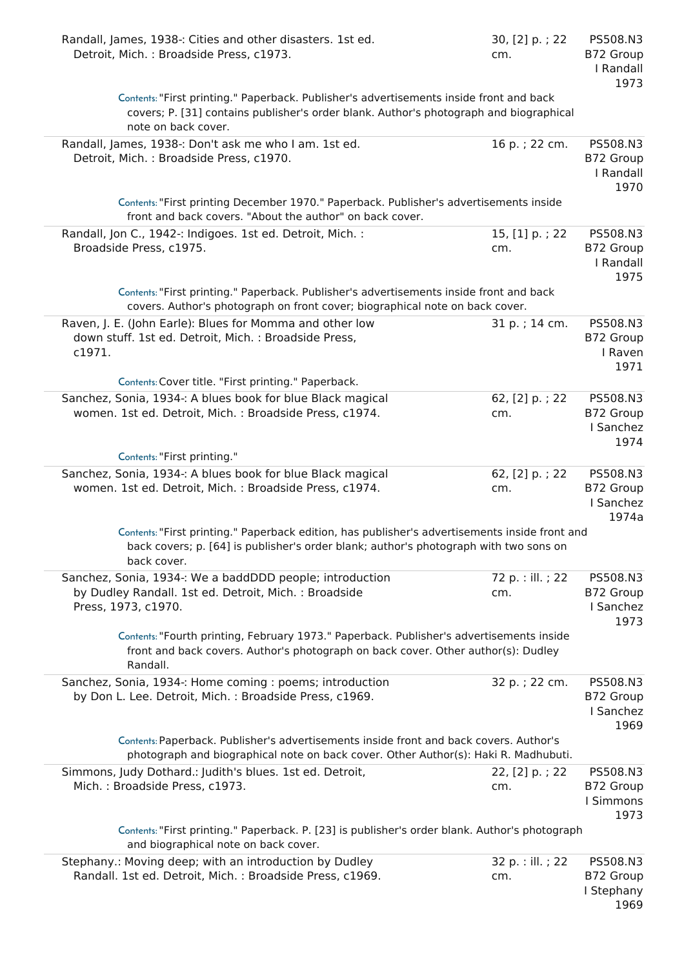| Randall, James, 1938 -: Cities and other disasters. 1st ed.<br>Detroit, Mich.: Broadside Press, c1973.                                                                                                   | 30, [2] p.; 22<br>cm. | PS508.N3<br>B72 Group<br>I Randall<br>1973  |
|----------------------------------------------------------------------------------------------------------------------------------------------------------------------------------------------------------|-----------------------|---------------------------------------------|
| Contents: "First printing." Paperback. Publisher's advertisements inside front and back<br>covers; P. [31] contains publisher's order blank. Author's photograph and biographical<br>note on back cover. |                       |                                             |
| Randall, James, 1938 -: Don't ask me who I am. 1st ed.<br>Detroit, Mich.: Broadside Press, c1970.                                                                                                        | 16 p.; 22 cm.         | PS508.N3<br>B72 Group<br>I Randall<br>1970  |
| Contents: "First printing December 1970." Paperback. Publisher's advertisements inside<br>front and back covers. "About the author" on back cover.                                                       |                       |                                             |
| Randall, Jon C., 1942 -: Indigoes. 1st ed. Detroit, Mich. :<br>Broadside Press, c1975.                                                                                                                   | 15, [1] p.; 22<br>cm. | PS508.N3<br>B72 Group<br>I Randall<br>1975  |
| Contents: "First printing." Paperback. Publisher's advertisements inside front and back<br>covers. Author's photograph on front cover; biographical note on back cover.                                  |                       |                                             |
| Raven, J. E. (John Earle): Blues for Momma and other low<br>down stuff. 1st ed. Detroit, Mich. : Broadside Press,<br>c1971.                                                                              | 31 p.; 14 cm.         | PS508.N3<br>B72 Group<br>I Raven<br>1971    |
| Contents: Cover title. "First printing." Paperback.                                                                                                                                                      |                       |                                             |
| Sanchez, Sonia, 1934 -: A blues book for blue Black magical<br>women. 1st ed. Detroit, Mich.: Broadside Press, c1974.                                                                                    | 62, [2] p.; 22<br>cm. | PS508.N3<br>B72 Group<br>I Sanchez<br>1974  |
| Contents: "First printing."                                                                                                                                                                              |                       |                                             |
| Sanchez, Sonia, 1934 -: A blues book for blue Black magical<br>women. 1st ed. Detroit, Mich. : Broadside Press, c1974.                                                                                   | 62, [2] p.; 22<br>cm. | PS508.N3<br>B72 Group<br>I Sanchez<br>1974a |
| Contents: "First printing." Paperback edition, has publisher's advertisements inside front and<br>back covers; p. [64] is publisher's order blank; author's photograph with two sons on<br>back cover.   |                       |                                             |
| Sanchez, Sonia, 1934 -: We a baddDDD people; introduction                                                                                                                                                | 72 p. : ill. ; 22     | PS508.N3                                    |
| by Dudley Randall. 1st ed. Detroit, Mich.: Broadside<br>Press, 1973, c1970.                                                                                                                              | cm.                   | B72 Group<br>I Sanchez<br>1973              |
| Contents: "Fourth printing, February 1973." Paperback. Publisher's advertisements inside<br>front and back covers. Author's photograph on back cover. Other author(s): Dudley<br>Randall.                |                       |                                             |
| Sanchez, Sonia, 1934 -: Home coming : poems; introduction<br>by Don L. Lee. Detroit, Mich. : Broadside Press, c1969.                                                                                     | 32 p. ; 22 cm.        | PS508.N3<br>B72 Group<br>I Sanchez<br>1969  |
| Contents: Paperback. Publisher's advertisements inside front and back covers. Author's<br>photograph and biographical note on back cover. Other Author(s): Haki R. Madhubuti.                            |                       |                                             |
| Simmons, Judy Dothard.: Judith's blues. 1st ed. Detroit,<br>Mich.: Broadside Press, c1973.                                                                                                               | 22, [2] p.; 22<br>cm. | PS508.N3<br>B72 Group<br>I Simmons<br>1973  |
| Contents: "First printing." Paperback. P. [23] is publisher's order blank. Author's photograph<br>and biographical note on back cover.                                                                   |                       |                                             |
| Stephany.: Moving deep; with an introduction by Dudley                                                                                                                                                   | 32 p. : ill. ; 22     | PS508.N3                                    |
| Randall. 1st ed. Detroit, Mich.: Broadside Press, c1969.                                                                                                                                                 | cm.                   | B72 Group<br>I Stephany<br>1969             |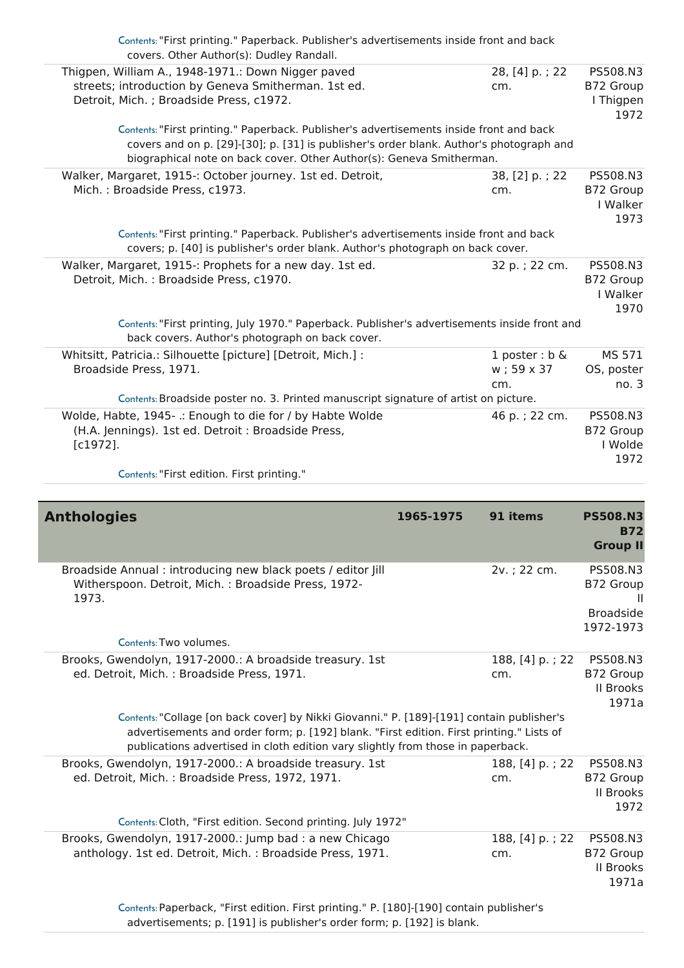| Contents: "First printing." Paperback. Publisher's advertisements inside front and back<br>covers. Other Author(s): Dudley Randall. |                   |                       |
|-------------------------------------------------------------------------------------------------------------------------------------|-------------------|-----------------------|
| Thigpen, William A., 1948-1971.: Down Nigger paved                                                                                  | 28, [4] p.; 22    | PS508.N3              |
| streets; introduction by Geneva Smitherman. 1st ed.                                                                                 | cm.               | B72 Group             |
| Detroit, Mich. ; Broadside Press, c1972.                                                                                            |                   | I Thigpen             |
|                                                                                                                                     |                   | 1972                  |
| Contents: "First printing." Paperback. Publisher's advertisements inside front and back                                             |                   |                       |
| covers and on p. [29]-[30]; p. [31] is publisher's order blank. Author's photograph and                                             |                   |                       |
| biographical note on back cover. Other Author(s): Geneva Smitherman.                                                                |                   |                       |
| Walker, Margaret, 1915 -: October journey. 1st ed. Detroit,                                                                         | 38, [2] p.; 22    | PS508.N3              |
| Mich.: Broadside Press, c1973.                                                                                                      | cm.               | B72 Group<br>I Walker |
|                                                                                                                                     |                   | 1973                  |
| Contents: "First printing." Paperback. Publisher's advertisements inside front and back                                             |                   |                       |
| covers; p. [40] is publisher's order blank. Author's photograph on back cover.                                                      |                   |                       |
| Walker, Margaret, 1915 -: Prophets for a new day. 1st ed.                                                                           | 32 p. ; 22 cm.    | PS508.N3              |
| Detroit, Mich.: Broadside Press, c1970.                                                                                             |                   | B72 Group             |
|                                                                                                                                     |                   | I Walker              |
|                                                                                                                                     |                   | 1970                  |
| Contents: "First printing, July 1970." Paperback. Publisher's advertisements inside front and                                       |                   |                       |
| back covers. Author's photograph on back cover.                                                                                     |                   |                       |
| Whitsitt, Patricia.: Silhouette [picture] [Detroit, Mich.] :                                                                        | 1 poster : $b \&$ | MS 571                |
| Broadside Press, 1971.                                                                                                              | w; 59 x 37        | OS, poster            |
|                                                                                                                                     | cm.               | no.3                  |
| Contents: Broadside poster no. 3. Printed manuscript signature of artist on picture.                                                |                   |                       |
| Wolde, Habte, 1945- .: Enough to die for / by Habte Wolde                                                                           | 46 p.; 22 cm.     | PS508.N3              |
| (H.A. Jennings). 1st ed. Detroit : Broadside Press,                                                                                 |                   | B72 Group             |
| $[c1972]$ .                                                                                                                         |                   | I Wolde               |
|                                                                                                                                     |                   | 1972                  |
| Contents: "First edition. First printing."                                                                                          |                   |                       |

| <b>Anthologies</b>                                                                                                                                                                                                                                                       | 1965-1975 | 91 items               | <b>PS508.N3</b><br><b>B72</b><br><b>Group II</b>       |
|--------------------------------------------------------------------------------------------------------------------------------------------------------------------------------------------------------------------------------------------------------------------------|-----------|------------------------|--------------------------------------------------------|
| Broadside Annual: introducing new black poets / editor Jill<br>Witherspoon. Detroit, Mich.: Broadside Press, 1972-<br>1973.                                                                                                                                              |           | 2v.; 22 cm.            | PS508.N3<br>B72 Group<br><b>Broadside</b><br>1972-1973 |
| Contents: Two volumes.                                                                                                                                                                                                                                                   |           |                        |                                                        |
| Brooks, Gwendolyn, 1917-2000.: A broadside treasury. 1st<br>ed. Detroit, Mich.: Broadside Press, 1971.                                                                                                                                                                   |           | 188, [4] p.; 22<br>cm. | PS508.N3<br>B72 Group<br><b>II Brooks</b><br>1971a     |
| Contents: "Collage [on back cover] by Nikki Giovanni." P. [189]-[191] contain publisher's<br>advertisements and order form; p. [192] blank. "First edition. First printing." Lists of<br>publications advertised in cloth edition vary slightly from those in paperback. |           |                        |                                                        |
| Brooks, Gwendolyn, 1917-2000.: A broadside treasury. 1st<br>ed. Detroit, Mich.: Broadside Press, 1972, 1971.                                                                                                                                                             |           | 188, [4] p.; 22<br>cm. | PS508.N3<br>B72 Group<br>II Brooks<br>1972             |
| Contents: Cloth, "First edition. Second printing. July 1972"                                                                                                                                                                                                             |           |                        |                                                        |
| Brooks, Gwendolyn, 1917-2000.: Jump bad: a new Chicago<br>anthology. 1st ed. Detroit, Mich.: Broadside Press, 1971.                                                                                                                                                      |           | 188, [4] p.; 22<br>cm. | PS508.N3<br>B72 Group<br><b>II Brooks</b><br>1971a     |
| Captage Banorhack "First odition First printing " D. [190] [100] contain publishers                                                                                                                                                                                      |           |                        |                                                        |

Contents:Paperback, "First edition. First printing." P. [180]-[190] contain publisher's advertisements; p. [191] is publisher's order form; p. [192] is blank.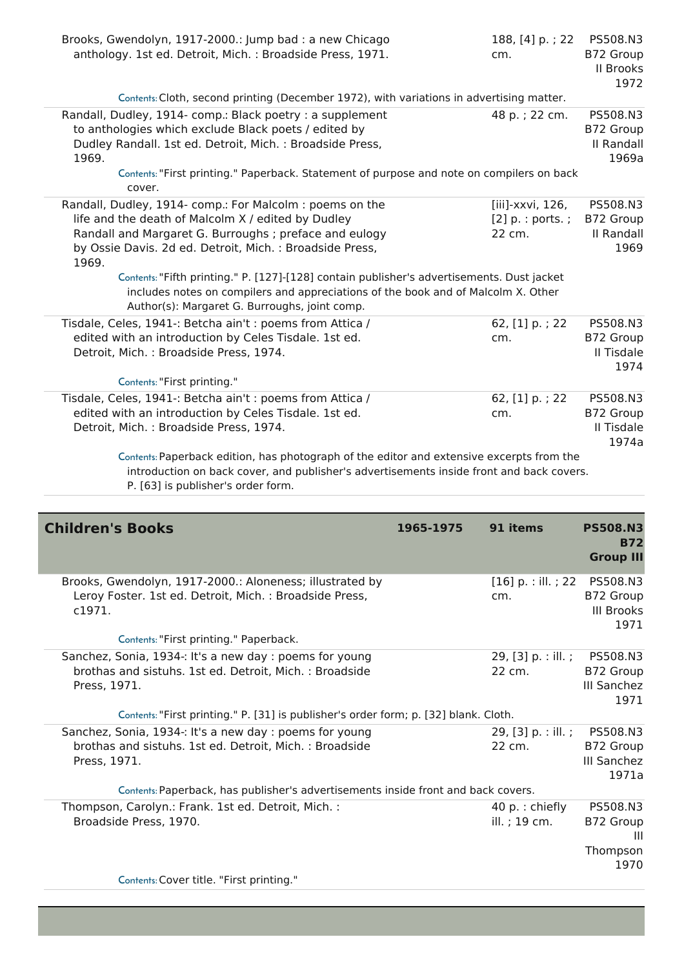| Brooks, Gwendolyn, 1917-2000.: Jump bad : a new Chicago<br>anthology. 1st ed. Detroit, Mich.: Broadside Press, 1971.                                                                                                                                                                                                                                                                                                                                                                                                                          | 188, [4] p.; 22<br>cm.                                             | PS508.N3<br>B72 Group<br>II Brooks<br>1972              |
|-----------------------------------------------------------------------------------------------------------------------------------------------------------------------------------------------------------------------------------------------------------------------------------------------------------------------------------------------------------------------------------------------------------------------------------------------------------------------------------------------------------------------------------------------|--------------------------------------------------------------------|---------------------------------------------------------|
| Contents: Cloth, second printing (December 1972), with variations in advertising matter.                                                                                                                                                                                                                                                                                                                                                                                                                                                      |                                                                    |                                                         |
| Randall, Dudley, 1914- comp.: Black poetry : a supplement<br>to anthologies which exclude Black poets / edited by<br>Dudley Randall. 1st ed. Detroit, Mich. : Broadside Press,<br>1969.<br>Contents: "First printing." Paperback. Statement of purpose and note on compilers on back                                                                                                                                                                                                                                                          | 48 p.; 22 cm.                                                      | PS508.N3<br>B72 Group<br>II Randall<br>1969a            |
| cover.                                                                                                                                                                                                                                                                                                                                                                                                                                                                                                                                        |                                                                    |                                                         |
| Randall, Dudley, 1914- comp.: For Malcolm : poems on the<br>life and the death of Malcolm X / edited by Dudley<br>Randall and Margaret G. Burroughs; preface and eulogy<br>by Ossie Davis. 2d ed. Detroit, Mich.: Broadside Press,<br>1969.<br>Contents: "Fifth printing." P. [127]-[128] contain publisher's advertisements. Dust jacket<br>includes notes on compilers and appreciations of the book and of Malcolm X. Other<br>Author(s): Margaret G. Burroughs, joint comp.<br>Tisdale, Celes, 1941 -: Betcha ain't : poems from Attica / | [iii]-xxvi, 126,<br>$[2]$ p. : ports.;<br>22 cm.<br>62, [1] p.; 22 | PS508.N3<br>B72 Group<br>II Randall<br>1969<br>PS508.N3 |
| edited with an introduction by Celes Tisdale. 1st ed.<br>Detroit, Mich.: Broadside Press, 1974.<br>Contents: "First printing."                                                                                                                                                                                                                                                                                                                                                                                                                | cm.                                                                | B72 Group<br>Il Tisdale<br>1974                         |
| Tisdale, Celes, 1941 -: Betcha ain't : poems from Attica /<br>edited with an introduction by Celes Tisdale. 1st ed.<br>Detroit, Mich.: Broadside Press, 1974.                                                                                                                                                                                                                                                                                                                                                                                 | 62, [1] p.; 22<br>cm.                                              | PS508.N3<br>B72 Group<br>Il Tisdale<br>1974a            |
| Contents: Paperback edition, has photograph of the editor and extensive excerpts from the<br>introduction on back cover, and publisher's advertisements inside front and back covers.<br>P. [63] is publisher's order form.                                                                                                                                                                                                                                                                                                                   |                                                                    |                                                         |

| <b>Children's Books</b>                                                                                                            | 1965-1975 | 91 items                           | <b>PS508.N3</b><br><b>B72</b><br><b>Group III</b>  |
|------------------------------------------------------------------------------------------------------------------------------------|-----------|------------------------------------|----------------------------------------------------|
| Brooks, Gwendolyn, 1917-2000.: Aloneness; illustrated by<br>Leroy Foster. 1st ed. Detroit, Mich.: Broadside Press,<br>c1971.       |           | $[16]$ p. : ill. ; 22<br>cm.       | PS508.N3<br>B72 Group<br><b>III Brooks</b><br>1971 |
| Contents: "First printing." Paperback.                                                                                             |           |                                    |                                                    |
| Sanchez, Sonia, 1934 -: It's a new day : poems for young<br>brothas and sistuhs. 1st ed. Detroit, Mich.: Broadside<br>Press, 1971. |           | 29, [3] $p. :$ ill.;<br>22 cm.     | PS508.N3<br>B72 Group<br>III Sanchez<br>1971       |
| Contents: "First printing." P. [31] is publisher's order form; p. [32] blank. Cloth.                                               |           |                                    |                                                    |
| Sanchez, Sonia, 1934 -: It's a new day : poems for young<br>brothas and sistuhs. 1st ed. Detroit, Mich.: Broadside<br>Press, 1971. |           | 29, [3] p. : ill. ;<br>22 cm.      | PS508.N3<br>B72 Group<br>III Sanchez<br>1971a      |
| Contents: Paperback, has publisher's advertisements inside front and back covers.                                                  |           |                                    |                                                    |
| Thompson, Carolyn.: Frank. 1st ed. Detroit, Mich. :<br>Broadside Press, 1970.                                                      |           | 40 $p$ .: chiefly<br>ill. ; 19 cm. | PS508.N3<br>B72 Group<br>Ш<br>Thompson<br>1970     |
| Contents: Cover title. "First printing."                                                                                           |           |                                    |                                                    |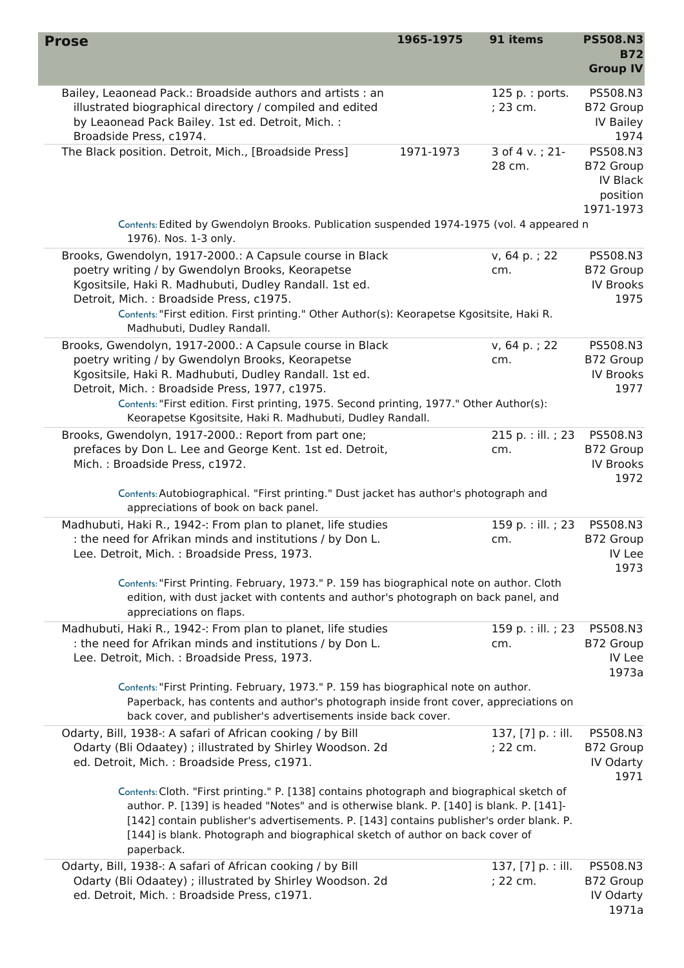| <b>Prose</b>                                                                                                                                                                                                                                                                                                                                                                     | 1965-1975 | 91 items                         | <b>PS508.N3</b><br>B72<br><b>Group IV</b>                  |
|----------------------------------------------------------------------------------------------------------------------------------------------------------------------------------------------------------------------------------------------------------------------------------------------------------------------------------------------------------------------------------|-----------|----------------------------------|------------------------------------------------------------|
| Bailey, Leaonead Pack.: Broadside authors and artists : an<br>illustrated biographical directory / compiled and edited<br>by Leaonead Pack Bailey. 1st ed. Detroit, Mich. :<br>Broadside Press, c1974.                                                                                                                                                                           |           | $125 p.:$ ports.<br>; 23 cm.     | PS508.N3<br>B72 Group<br>IV Bailey<br>1974                 |
| The Black position. Detroit, Mich., [Broadside Press]                                                                                                                                                                                                                                                                                                                            | 1971-1973 | 3 of 4 v.; 21-<br>28 cm.         | PS508.N3<br>B72 Group<br>IV Black<br>position<br>1971-1973 |
| Contents: Edited by Gwendolyn Brooks. Publication suspended 1974-1975 (vol. 4 appeared n<br>1976). Nos. 1-3 only.                                                                                                                                                                                                                                                                |           |                                  |                                                            |
| Brooks, Gwendolyn, 1917-2000.: A Capsule course in Black<br>poetry writing / by Gwendolyn Brooks, Keorapetse<br>Kgositsile, Haki R. Madhubuti, Dudley Randall. 1st ed.<br>Detroit, Mich.: Broadside Press, c1975.<br>Contents: "First edition. First printing." Other Author(s): Keorapetse Kgositsite, Haki R.<br>Madhubuti, Dudley Randall.                                    |           | v, 64 p.; 22<br>cm.              | PS508.N3<br>B72 Group<br><b>IV Brooks</b><br>1975          |
| Brooks, Gwendolyn, 1917-2000.: A Capsule course in Black<br>poetry writing / by Gwendolyn Brooks, Keorapetse<br>Kgositsile, Haki R. Madhubuti, Dudley Randall. 1st ed.<br>Detroit, Mich.: Broadside Press, 1977, c1975.<br>Contents: "First edition. First printing, 1975. Second printing, 1977." Other Author(s):<br>Keorapetse Kgositsite, Haki R. Madhubuti, Dudley Randall. |           | v, 64 p.; 22<br>cm.              | PS508.N3<br>B72 Group<br><b>IV Brooks</b><br>1977          |
| Brooks, Gwendolyn, 1917-2000.: Report from part one;<br>prefaces by Don L. Lee and George Kent. 1st ed. Detroit,<br>Mich.: Broadside Press, c1972.                                                                                                                                                                                                                               |           | 215 p. : ill. ; 23<br>cm.        | PS508.N3<br>B72 Group<br>IV Brooks<br>1972                 |
| Contents: Autobiographical. "First printing." Dust jacket has author's photograph and<br>appreciations of book on back panel.                                                                                                                                                                                                                                                    |           |                                  |                                                            |
| Madhubuti, Haki R., 1942 -: From plan to planet, life studies<br>: the need for Afrikan minds and institutions / by Don L.<br>Lee. Detroit, Mich. : Broadside Press, 1973.                                                                                                                                                                                                       |           | 159 p. : ill. ; 23<br>cm.        | PS508.N3<br>B72 Group<br>IV Lee<br>1973                    |
| Contents: "First Printing. February, 1973." P. 159 has biographical note on author. Cloth<br>edition, with dust jacket with contents and author's photograph on back panel, and<br>appreciations on flaps.                                                                                                                                                                       |           |                                  |                                                            |
| Madhubuti, Haki R., 1942 -: From plan to planet, life studies<br>: the need for Afrikan minds and institutions / by Don L.<br>Lee. Detroit, Mich.: Broadside Press, 1973.                                                                                                                                                                                                        |           | 159 p. : ill. ; 23<br>cm.        | PS508.N3<br>B72 Group<br>IV Lee<br>1973a                   |
| Contents: "First Printing. February, 1973." P. 159 has biographical note on author.<br>Paperback, has contents and author's photograph inside front cover, appreciations on<br>back cover, and publisher's advertisements inside back cover.                                                                                                                                     |           |                                  |                                                            |
| Odarty, Bill, 1938 -: A safari of African cooking / by Bill<br>Odarty (Bli Odaatey) ; illustrated by Shirley Woodson. 2d<br>ed. Detroit, Mich. : Broadside Press, c1971.                                                                                                                                                                                                         |           | 137, [7] p. : ill.<br>; 22 cm.   | PS508.N3<br>B72 Group<br>IV Odarty<br>1971                 |
| Contents: Cloth. "First printing." P. [138] contains photograph and biographical sketch of<br>author. P. [139] is headed "Notes" and is otherwise blank. P. [140] is blank. P. [141]-<br>[142] contain publisher's advertisements. P. [143] contains publisher's order blank. P.<br>[144] is blank. Photograph and biographical sketch of author on back cover of<br>paperback.  |           |                                  |                                                            |
| Odarty, Bill, 1938 -: A safari of African cooking / by Bill<br>Odarty (Bli Odaatey) ; illustrated by Shirley Woodson. 2d<br>ed. Detroit, Mich. : Broadside Press, c1971.                                                                                                                                                                                                         |           | 137, $[7]$ p. : ill.<br>; 22 cm. | PS508.N3<br>B72 Group<br>IV Odarty<br>1971a                |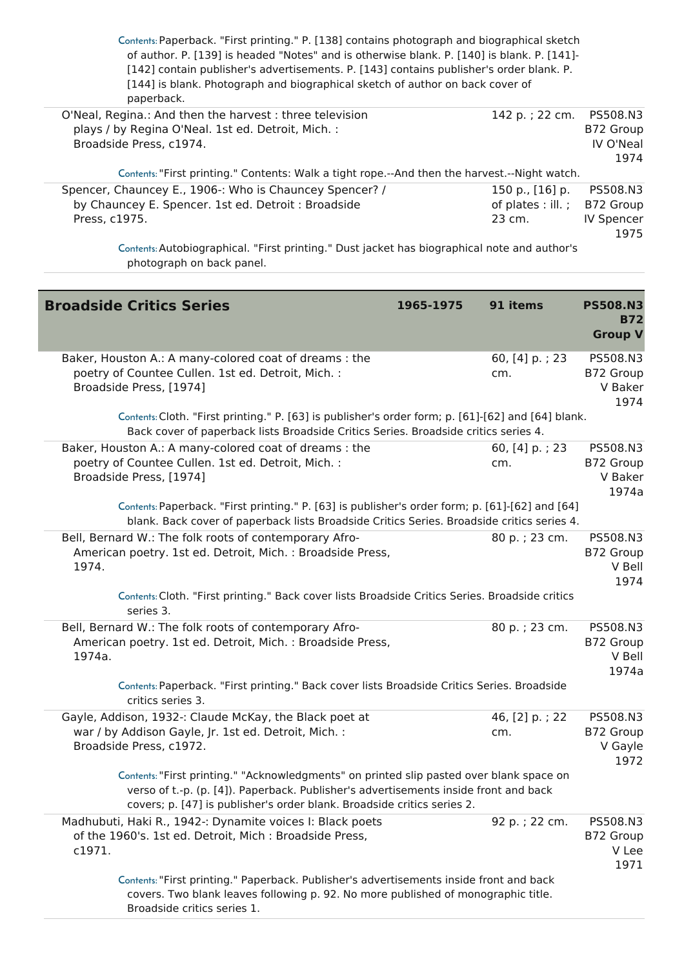| Contents: Paperback. "First printing." P. [138] contains photograph and biographical sketch<br>of author. P. [139] is headed "Notes" and is otherwise blank. P. [140] is blank. P. [141]-<br>[142] contain publisher's advertisements. P. [143] contains publisher's order blank. P.<br>[144] is blank. Photograph and biographical sketch of author on back cover of<br>paperback. |                                                 |                                                    |
|-------------------------------------------------------------------------------------------------------------------------------------------------------------------------------------------------------------------------------------------------------------------------------------------------------------------------------------------------------------------------------------|-------------------------------------------------|----------------------------------------------------|
| O'Neal, Regina.: And then the harvest: three television<br>plays / by Regina O'Neal. 1st ed. Detroit, Mich. :<br>Broadside Press, c1974.                                                                                                                                                                                                                                            | 142 p.; 22 cm. PS508.N3                         | B72 Group<br>IV O'Neal<br>1974                     |
| Contents: "First printing." Contents: Walk a tight rope.--And then the harvest.--Night watch.                                                                                                                                                                                                                                                                                       |                                                 |                                                    |
| Spencer, Chauncey E., 1906 -: Who is Chauncey Spencer? /<br>by Chauncey E. Spencer. 1st ed. Detroit: Broadside<br>Press, c1975.                                                                                                                                                                                                                                                     | 150 p., [16] p.<br>of plates : ill. ;<br>23 cm. | PS508.N3<br>B72 Group<br><b>IV Spencer</b><br>1975 |

Contents:Autobiographical. "First printing." Dust jacket has biographical note and author's photograph on back panel.

| <b>Broadside Critics Series</b>                                                                                                                                                                                                                             | 1965-1975 | 91 items              | <b>PS508.N3</b><br><b>B72</b><br><b>Group V</b> |
|-------------------------------------------------------------------------------------------------------------------------------------------------------------------------------------------------------------------------------------------------------------|-----------|-----------------------|-------------------------------------------------|
| Baker, Houston A.: A many-colored coat of dreams : the<br>poetry of Countee Cullen. 1st ed. Detroit, Mich. :<br>Broadside Press, [1974]                                                                                                                     |           | 60, [4] p.; 23<br>cm. | PS508.N3<br>B72 Group<br>V Baker<br>1974        |
| Contents: Cloth. "First printing." P. [63] is publisher's order form; p. [61]-[62] and [64] blank.<br>Back cover of paperback lists Broadside Critics Series. Broadside critics series 4.                                                                   |           |                       |                                                 |
| Baker, Houston A.: A many-colored coat of dreams : the<br>poetry of Countee Cullen. 1st ed. Detroit, Mich. :<br>Broadside Press, [1974]                                                                                                                     |           | 60, [4] p.; 23<br>cm. | PS508.N3<br>B72 Group<br>V Baker<br>1974a       |
| Contents: Paperback. "First printing." P. [63] is publisher's order form; p. [61]-[62] and [64]<br>blank. Back cover of paperback lists Broadside Critics Series. Broadside critics series 4.                                                               |           |                       |                                                 |
| Bell, Bernard W.: The folk roots of contemporary Afro-<br>American poetry. 1st ed. Detroit, Mich.: Broadside Press,<br>1974.                                                                                                                                |           | 80 p.; 23 cm.         | PS508.N3<br>B72 Group<br>V Bell<br>1974         |
| Contents: Cloth. "First printing." Back cover lists Broadside Critics Series. Broadside critics<br>series 3.                                                                                                                                                |           |                       |                                                 |
| Bell, Bernard W.: The folk roots of contemporary Afro-<br>American poetry. 1st ed. Detroit, Mich. : Broadside Press,<br>1974a.                                                                                                                              |           | 80 p.; 23 cm.         | PS508.N3<br>B72 Group<br>V Bell<br>1974a        |
| Contents: Paperback. "First printing." Back cover lists Broadside Critics Series. Broadside<br>critics series 3.                                                                                                                                            |           |                       |                                                 |
| Gayle, Addison, 1932 -: Claude McKay, the Black poet at<br>war / by Addison Gayle, Jr. 1st ed. Detroit, Mich. :<br>Broadside Press, c1972.                                                                                                                  |           | 46, [2] p.; 22<br>cm. | PS508.N3<br>B72 Group<br>V Gayle<br>1972        |
| Contents: "First printing." "Acknowledgments" on printed slip pasted over blank space on<br>verso of t.-p. (p. [4]). Paperback. Publisher's advertisements inside front and back<br>covers; p. [47] is publisher's order blank. Broadside critics series 2. |           |                       |                                                 |
| Madhubuti, Haki R., 1942 -: Dynamite voices I: Black poets<br>of the 1960's. 1st ed. Detroit, Mich: Broadside Press,<br>c1971.                                                                                                                              |           | 92 p.; 22 cm.         | PS508.N3<br>B72 Group<br>V Lee<br>1971          |
| Contents: "First printing." Paperback. Publisher's advertisements inside front and back<br>covers. Two blank leaves following p. 92. No more published of monographic title.<br>Broadside critics series 1.                                                 |           |                       |                                                 |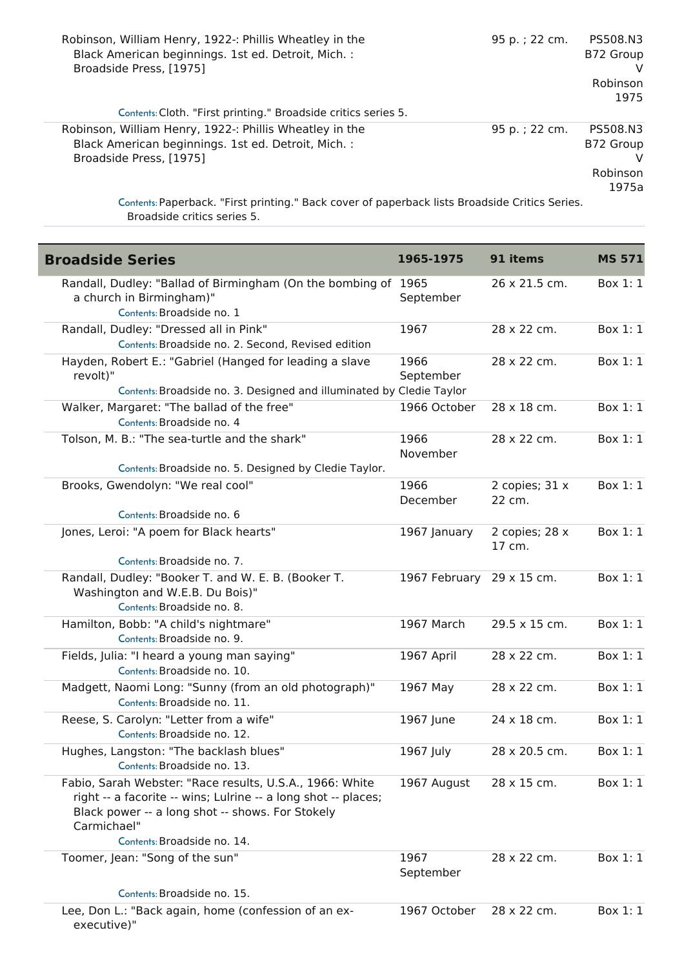| Robinson, William Henry, 1922 -: Phillis Wheatley in the<br>Black American beginnings. 1st ed. Detroit, Mich. :<br>Broadside Press, [1975]                                                                                                             | 95 p.; 22 cm. | PS508.N3<br>B72 Group<br>Robinson<br>1975  |
|--------------------------------------------------------------------------------------------------------------------------------------------------------------------------------------------------------------------------------------------------------|---------------|--------------------------------------------|
| Contents: Cloth. "First printing." Broadside critics series 5.                                                                                                                                                                                         |               |                                            |
| Robinson, William Henry, 1922 -: Phillis Wheatley in the<br>Black American beginnings. 1st ed. Detroit, Mich. :<br>Broadside Press, [1975]<br>2011 - Paul Marie Marie Marie Marie Marie La Marie Marie Marie Marie Marie Marie Marie Marie Marie Marie | 95 p.; 22 cm. | PS508.N3<br>B72 Group<br>Robinson<br>1975a |

 $\overline{\phantom{a}}$ 

Contents:Paperback. "First printing." Back cover of paperback lists Broadside Critics Series. Broadside critics series 5.

| <b>Broadside Series</b>                                                                                                                                                                                                      | 1965-1975                 | 91 items                 | <b>MS 571</b> |
|------------------------------------------------------------------------------------------------------------------------------------------------------------------------------------------------------------------------------|---------------------------|--------------------------|---------------|
| Randall, Dudley: "Ballad of Birmingham (On the bombing of 1965<br>a church in Birmingham)"<br>Contents: Broadside no. 1                                                                                                      | September                 | 26 x 21.5 cm.            | Box 1: 1      |
| Randall, Dudley: "Dressed all in Pink"<br>Contents: Broadside no. 2. Second, Revised edition                                                                                                                                 | 1967                      | 28 x 22 cm.              | Box 1: 1      |
| Hayden, Robert E.: "Gabriel (Hanged for leading a slave<br>revolt)"<br>Contents: Broadside no. 3. Designed and illuminated by Cledie Taylor                                                                                  | 1966<br>September         | 28 x 22 cm.              | Box 1: 1      |
| Walker, Margaret: "The ballad of the free"<br>Contents: Broadside no. 4                                                                                                                                                      | 1966 October              | 28 x 18 cm.              | Box 1: 1      |
| Tolson, M. B.: "The sea-turtle and the shark"                                                                                                                                                                                | 1966<br>November          | 28 x 22 cm.              | Box 1: 1      |
| Contents: Broadside no. 5. Designed by Cledie Taylor.<br>Brooks, Gwendolyn: "We real cool"<br>Contents: Broadside no. 6                                                                                                      | 1966<br>December          | 2 copies; 31 x<br>22 cm. | Box 1: 1      |
| Jones, Leroi: "A poem for Black hearts"<br>Contents: Broadside no. 7.                                                                                                                                                        | 1967 January              | 2 copies; 28 x<br>17 cm. | Box 1: 1      |
| Randall, Dudley: "Booker T. and W. E. B. (Booker T.<br>Washington and W.E.B. Du Bois)"<br>Contents: Broadside no. 8.                                                                                                         | 1967 February 29 x 15 cm. |                          | Box 1: 1      |
| Hamilton, Bobb: "A child's nightmare"<br>Contents: Broadside no. 9.                                                                                                                                                          | 1967 March                | 29.5 x 15 cm.            | Box 1: 1      |
| Fields, Julia: "I heard a young man saying"<br>Contents: Broadside no. 10.                                                                                                                                                   | 1967 April                | 28 x 22 cm.              | Box 1: 1      |
| Madgett, Naomi Long: "Sunny (from an old photograph)"<br>Contents: Broadside no. 11.                                                                                                                                         | 1967 May                  | 28 x 22 cm.              | Box 1: 1      |
| Reese, S. Carolyn: "Letter from a wife"<br>Contents: Broadside no. 12.                                                                                                                                                       | 1967 June                 | 24 x 18 cm.              | Box 1: 1      |
| Hughes, Langston: "The backlash blues"<br>Contents: Broadside no. 13.                                                                                                                                                        | 1967 July                 | 28 x 20.5 cm.            | Box 1: 1      |
| Fabio, Sarah Webster: "Race results, U.S.A., 1966: White<br>right -- a facorite -- wins; Lulrine -- a long shot -- places;<br>Black power -- a long shot -- shows. For Stokely<br>Carmichael"<br>Contents: Broadside no. 14. | 1967 August               | 28 x 15 cm.              | Box $1:1$     |
| Toomer, Jean: "Song of the sun"                                                                                                                                                                                              | 1967<br>September         | 28 x 22 cm.              | Box 1: 1      |
| Contents: Broadside no. 15.                                                                                                                                                                                                  |                           |                          |               |
| Lee, Don L.: "Back again, home (confession of an ex-<br>executive)"                                                                                                                                                          | 1967 October              | 28 x 22 cm.              | Box 1: 1      |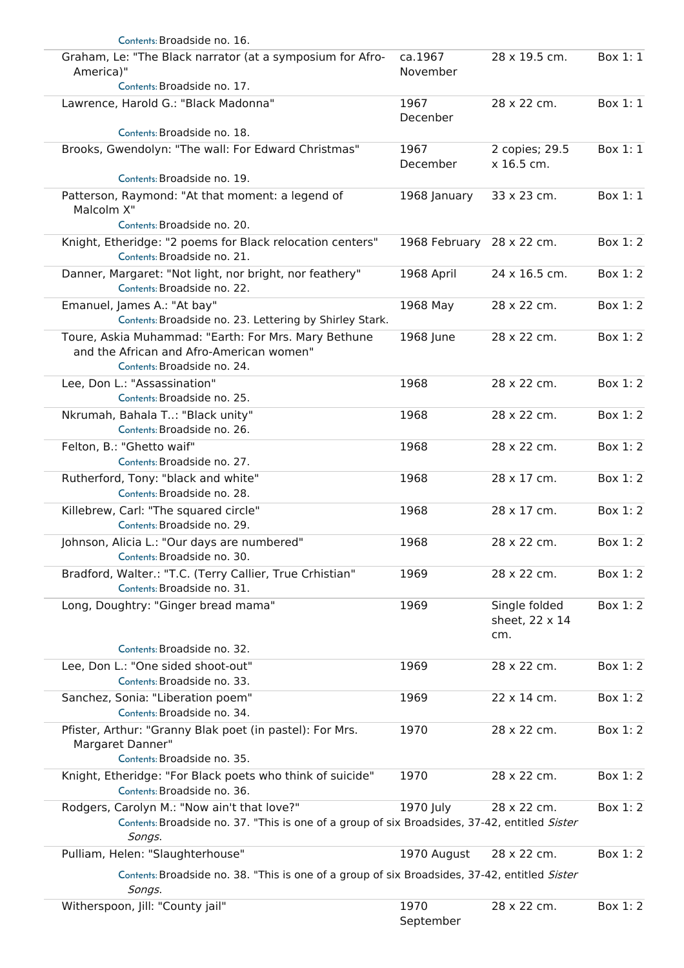| Contents: Broadside no. 16.                                                                                                                            |                           |                                        |          |
|--------------------------------------------------------------------------------------------------------------------------------------------------------|---------------------------|----------------------------------------|----------|
| Graham, Le: "The Black narrator (at a symposium for Afro-<br>America)"                                                                                 | ca.1967<br>November       | 28 x 19.5 cm.                          | Box 1: 1 |
| Contents: Broadside no. 17.                                                                                                                            |                           |                                        |          |
| Lawrence, Harold G.: "Black Madonna"                                                                                                                   | 1967<br>Decenber          | 28 x 22 cm.                            | Box 1: 1 |
| Contents: Broadside no. 18.                                                                                                                            |                           |                                        |          |
| Brooks, Gwendolyn: "The wall: For Edward Christmas"                                                                                                    | 1967<br>December          | 2 copies; 29.5<br>x 16.5 cm.           | Box 1: 1 |
| Contents: Broadside no. 19.                                                                                                                            |                           |                                        |          |
| Patterson, Raymond: "At that moment: a legend of<br>Malcolm X"<br>Contents: Broadside no. 20.                                                          | 1968 January              | 33 x 23 cm.                            | Box 1: 1 |
| Knight, Etheridge: "2 poems for Black relocation centers"                                                                                              |                           |                                        | Box 1: 2 |
| Contents: Broadside no. 21.                                                                                                                            | 1968 February 28 x 22 cm. |                                        |          |
| Danner, Margaret: "Not light, nor bright, nor feathery"<br>Contents: Broadside no. 22.                                                                 | 1968 April                | 24 x 16.5 cm.                          | Box 1: 2 |
| Emanuel, James A.: "At bay"<br>Contents: Broadside no. 23. Lettering by Shirley Stark.                                                                 | 1968 May                  | 28 x 22 cm.                            | Box 1: 2 |
| Toure, Askia Muhammad: "Earth: For Mrs. Mary Bethune<br>and the African and Afro-American women"<br>Contents: Broadside no. 24.                        | 1968 June                 | 28 x 22 cm.                            | Box 1: 2 |
| Lee, Don L.: "Assassination"<br>Contents: Broadside no. 25.                                                                                            | 1968                      | 28 x 22 cm.                            | Box 1:2  |
| Nkrumah, Bahala T: "Black unity"<br>Contents: Broadside no. 26.                                                                                        | 1968                      | 28 x 22 cm.                            | Box 1: 2 |
| Felton, B.: "Ghetto waif"<br>Contents: Broadside no. 27.                                                                                               | 1968                      | 28 x 22 cm.                            | Box 1: 2 |
| Rutherford, Tony: "black and white"<br>Contents: Broadside no. 28.                                                                                     | 1968                      | 28 x 17 cm.                            | Box 1:2  |
| Killebrew, Carl: "The squared circle"<br>Contents: Broadside no. 29.                                                                                   | 1968                      | 28 x 17 cm.                            | Box 1:2  |
| Johnson, Alicia L.: "Our days are numbered"<br>Contents: Broadside no. 30.                                                                             | 1968                      | 28 x 22 cm.                            | Box 1:2  |
| Bradford, Walter.: "T.C. (Terry Callier, True Crhistian"<br>Contents: Broadside no. 31.                                                                | 1969                      | 28 x 22 cm.                            | Box 1: 2 |
| Long, Doughtry: "Ginger bread mama"                                                                                                                    | 1969                      | Single folded<br>sheet, 22 x 14<br>cm. | Box 1:2  |
| Contents: Broadside no. 32.                                                                                                                            |                           |                                        |          |
| Lee, Don L.: "One sided shoot-out"<br>Contents: Broadside no. 33.                                                                                      | 1969                      | 28 x 22 cm.                            | Box 1:2  |
| Sanchez, Sonia: "Liberation poem"<br>Contents: Broadside no. 34.                                                                                       | 1969                      | 22 x 14 cm.                            | Box 1: 2 |
| Pfister, Arthur: "Granny Blak poet (in pastel): For Mrs.<br>Margaret Danner"<br>Contents: Broadside no. 35.                                            | 1970                      | 28 x 22 cm.                            | Box 1:2  |
| Knight, Etheridge: "For Black poets who think of suicide"                                                                                              | 1970                      | 28 x 22 cm.                            | Box 1:2  |
| Contents: Broadside no. 36.                                                                                                                            |                           |                                        |          |
| Rodgers, Carolyn M.: "Now ain't that love?"<br>Contents: Broadside no. 37. "This is one of a group of six Broadsides, 37-42, entitled Sister<br>Songs. | 1970 July                 | 28 x 22 cm.                            | Box 1:2  |
| Pulliam, Helen: "Slaughterhouse"                                                                                                                       | 1970 August               | 28 x 22 cm.                            | Box 1: 2 |
| Contents: Broadside no. 38. "This is one of a group of six Broadsides, 37-42, entitled Sister                                                          |                           |                                        |          |
| Songs.<br>Witherspoon, Jill: "County jail"                                                                                                             | 1970<br>September         | 28 x 22 cm.                            | Box 1: 2 |
|                                                                                                                                                        |                           |                                        |          |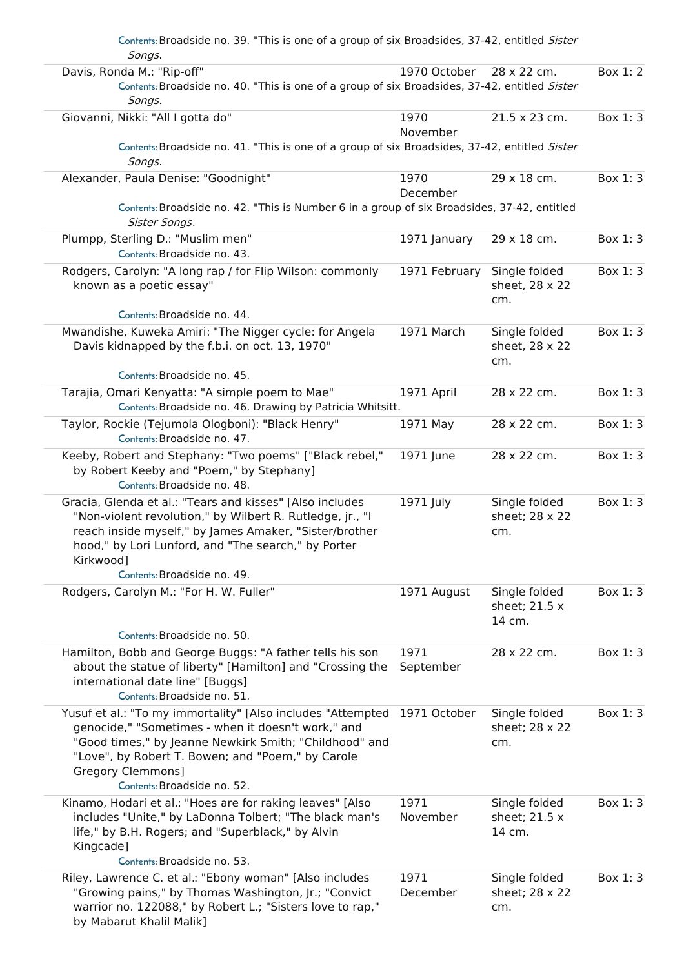| Contents: Broadside no. 39. "This is one of a group of six Broadsides, 37-42, entitled Sister<br>Songs.                                                                                                                                                                              |                   |                                          |          |
|--------------------------------------------------------------------------------------------------------------------------------------------------------------------------------------------------------------------------------------------------------------------------------------|-------------------|------------------------------------------|----------|
| Davis, Ronda M.: "Rip-off"<br>Contents: Broadside no. 40. "This is one of a group of six Broadsides, 37-42, entitled Sister                                                                                                                                                          | 1970 October      | 28 x 22 cm.                              | Box 1:2  |
| Songs.                                                                                                                                                                                                                                                                               |                   |                                          |          |
| Giovanni, Nikki: "All I gotta do"                                                                                                                                                                                                                                                    | 1970<br>November  | 21.5 x 23 cm.                            | Box 1:3  |
| Contents: Broadside no. 41. "This is one of a group of six Broadsides, 37-42, entitled Sister<br>Songs.                                                                                                                                                                              |                   |                                          |          |
| Alexander, Paula Denise: "Goodnight"                                                                                                                                                                                                                                                 | 1970<br>December  | 29 x 18 cm.                              | Box 1:3  |
| Contents: Broadside no. 42. "This is Number 6 in a group of six Broadsides, 37-42, entitled<br>Sister Songs.                                                                                                                                                                         |                   |                                          |          |
| Plumpp, Sterling D.: "Muslim men"                                                                                                                                                                                                                                                    | 1971 January      | 29 x 18 cm.                              | Box 1:3  |
| Contents: Broadside no. 43.                                                                                                                                                                                                                                                          |                   |                                          |          |
| Rodgers, Carolyn: "A long rap / for Flip Wilson: commonly<br>known as a poetic essay"                                                                                                                                                                                                | 1971 February     | Single folded<br>sheet, 28 x 22<br>cm.   | Box 1:3  |
| Contents: Broadside no. 44.                                                                                                                                                                                                                                                          |                   |                                          |          |
| Mwandishe, Kuweka Amiri: "The Nigger cycle: for Angela<br>Davis kidnapped by the f.b.i. on oct. 13, 1970"                                                                                                                                                                            | 1971 March        | Single folded<br>sheet, 28 x 22<br>cm.   | Box 1:3  |
| Contents: Broadside no. 45.                                                                                                                                                                                                                                                          |                   |                                          |          |
| Tarajia, Omari Kenyatta: "A simple poem to Mae"<br>Contents: Broadside no. 46. Drawing by Patricia Whitsitt.                                                                                                                                                                         | 1971 April        | 28 x 22 cm.                              | Box 1:3  |
| Taylor, Rockie (Tejumola Ologboni): "Black Henry"<br>Contents: Broadside no. 47.                                                                                                                                                                                                     | 1971 May          | 28 x 22 cm.                              | Box 1:3  |
| Keeby, Robert and Stephany: "Two poems" ["Black rebel,"<br>by Robert Keeby and "Poem," by Stephany]<br>Contents: Broadside no. 48.                                                                                                                                                   | 1971 June         | 28 x 22 cm.                              | Box 1:3  |
| Gracia, Glenda et al.: "Tears and kisses" [Also includes<br>"Non-violent revolution," by Wilbert R. Rutledge, jr., "I<br>reach inside myself," by James Amaker, "Sister/brother<br>hood," by Lori Lunford, and "The search," by Porter<br>Kirkwood]                                  | 1971 July         | Single folded<br>sheet; 28 x 22<br>cm.   | Box 1:3  |
| Contents: Broadside no. 49.                                                                                                                                                                                                                                                          |                   |                                          |          |
| Rodgers, Carolyn M.: "For H. W. Fuller"<br>Contents: Broadside no. 50.                                                                                                                                                                                                               | 1971 August       | Single folded<br>sheet; 21.5 x<br>14 cm. | Box 1:3  |
| Hamilton, Bobb and George Buggs: "A father tells his son<br>about the statue of liberty" [Hamilton] and "Crossing the<br>international date line" [Buggs]<br>Contents: Broadside no. 51.                                                                                             | 1971<br>September | 28 x 22 cm.                              | Box 1:3  |
| Yusuf et al.: "To my immortality" [Also includes "Attempted<br>genocide," "Sometimes - when it doesn't work," and<br>"Good times," by Jeanne Newkirk Smith; "Childhood" and<br>"Love", by Robert T. Bowen; and "Poem," by Carole<br>Gregory Clemmons]<br>Contents: Broadside no. 52. | 1971 October      | Single folded<br>sheet; 28 x 22<br>cm.   | Box 1:3  |
| Kinamo, Hodari et al.: "Hoes are for raking leaves" [Also<br>includes "Unite," by LaDonna Tolbert; "The black man's<br>life," by B.H. Rogers; and "Superblack," by Alvin<br>Kingcade]<br>Contents: Broadside no. 53.                                                                 | 1971<br>November  | Single folded<br>sheet; 21.5 x<br>14 cm. | Box 1: 3 |
| Riley, Lawrence C. et al.: "Ebony woman" [Also includes<br>"Growing pains," by Thomas Washington, Jr.; "Convict<br>warrior no. 122088," by Robert L.; "Sisters love to rap,"<br>by Mabarut Khalil Malik]                                                                             | 1971<br>December  | Single folded<br>sheet; 28 x 22<br>cm.   | Box 1:3  |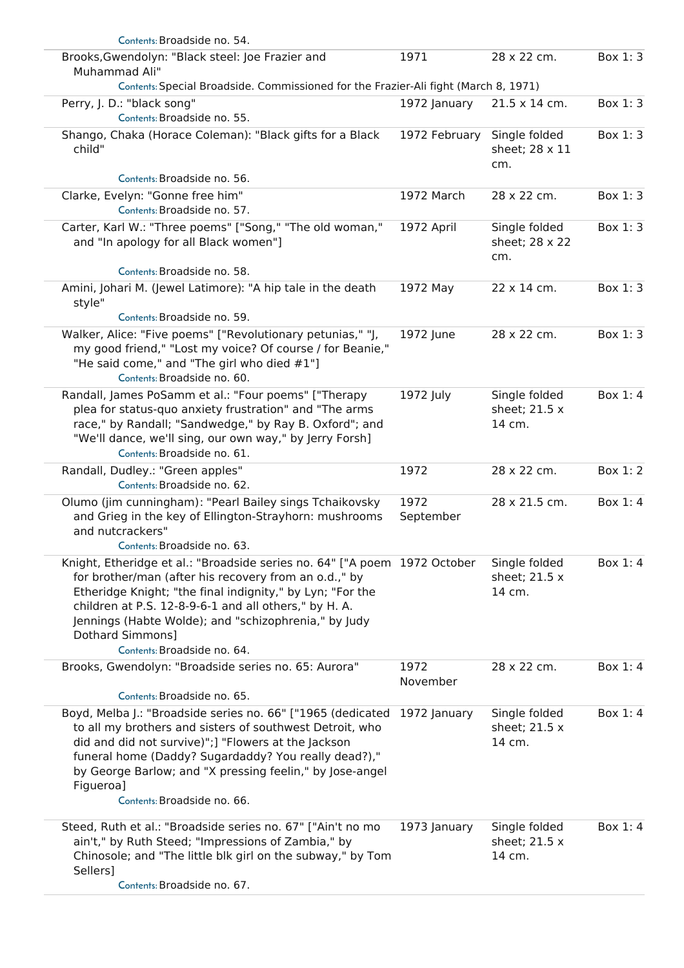| Contents: Broadside no. 54.                                                                                                                                                                                                                                                                                                                                         |                   |                                          |         |
|---------------------------------------------------------------------------------------------------------------------------------------------------------------------------------------------------------------------------------------------------------------------------------------------------------------------------------------------------------------------|-------------------|------------------------------------------|---------|
| Brooks, Gwendolyn: "Black steel: Joe Frazier and<br>Muhammad Ali"                                                                                                                                                                                                                                                                                                   | 1971              | 28 x 22 cm.                              | Box 1:3 |
| Contents: Special Broadside. Commissioned for the Frazier-Ali fight (March 8, 1971)                                                                                                                                                                                                                                                                                 |                   |                                          |         |
| Perry, J. D.: "black song"<br>Contents: Broadside no. 55.                                                                                                                                                                                                                                                                                                           | 1972 January      | 21.5 x 14 cm.                            | Box 1:3 |
| Shango, Chaka (Horace Coleman): "Black gifts for a Black<br>child"                                                                                                                                                                                                                                                                                                  | 1972 February     | Single folded<br>sheet; 28 x 11<br>cm.   | Box 1:3 |
| Contents: Broadside no. 56.                                                                                                                                                                                                                                                                                                                                         |                   |                                          |         |
| Clarke, Evelyn: "Gonne free him"<br>Contents: Broadside no. 57.                                                                                                                                                                                                                                                                                                     | 1972 March        | 28 x 22 cm.                              | Box 1:3 |
| Carter, Karl W.: "Three poems" ["Song," "The old woman,"<br>and "In apology for all Black women"]                                                                                                                                                                                                                                                                   | 1972 April        | Single folded<br>sheet; 28 x 22<br>cm.   | Box 1:3 |
| Contents: Broadside no. 58.                                                                                                                                                                                                                                                                                                                                         |                   |                                          |         |
| Amini, Johari M. (Jewel Latimore): "A hip tale in the death<br>style"                                                                                                                                                                                                                                                                                               | 1972 May          | 22 x 14 cm.                              | Box 1:3 |
| Contents: Broadside no. 59.                                                                                                                                                                                                                                                                                                                                         |                   |                                          |         |
| Walker, Alice: "Five poems" ["Revolutionary petunias," "J,<br>my good friend," "Lost my voice? Of course / for Beanie,"<br>"He said come," and "The girl who died #1"]<br>Contents: Broadside no. 60.                                                                                                                                                               | 1972 June         | 28 x 22 cm.                              | Box 1:3 |
| Randall, James PoSamm et al.: "Four poems" ["Therapy<br>plea for status-quo anxiety frustration" and "The arms<br>race," by Randall; "Sandwedge," by Ray B. Oxford"; and<br>"We'll dance, we'll sing, our own way," by Jerry Forsh]<br>Contents: Broadside no. 61.                                                                                                  | 1972 July         | Single folded<br>sheet; 21.5 x<br>14 cm. | Box 1:4 |
| Randall, Dudley.: "Green apples"<br>Contents: Broadside no. 62.                                                                                                                                                                                                                                                                                                     | 1972              | 28 x 22 cm.                              | Box 1:2 |
| Olumo (jim cunningham): "Pearl Bailey sings Tchaikovsky<br>and Grieg in the key of Ellington-Strayhorn: mushrooms<br>and nutcrackers"                                                                                                                                                                                                                               | 1972<br>September | 28 x 21.5 cm.                            | Box 1:4 |
| Contents: Broadside no. 63.                                                                                                                                                                                                                                                                                                                                         |                   |                                          |         |
| Knight, Etheridge et al.: "Broadside series no. 64" ["A poem 1972 October<br>for brother/man (after his recovery from an o.d.," by<br>Etheridge Knight; "the final indignity," by Lyn; "For the<br>children at P.S. 12-8-9-6-1 and all others," by H. A.<br>Jennings (Habte Wolde); and "schizophrenia," by Judy<br>Dothard Simmons]<br>Contents: Broadside no. 64. |                   | Single folded<br>sheet; 21.5 x<br>14 cm. | Box 1:4 |
| Brooks, Gwendolyn: "Broadside series no. 65: Aurora"                                                                                                                                                                                                                                                                                                                | 1972              | 28 x 22 cm.                              | Box 1:4 |
|                                                                                                                                                                                                                                                                                                                                                                     | November          |                                          |         |
| Contents: Broadside no. 65.                                                                                                                                                                                                                                                                                                                                         |                   |                                          |         |
| Boyd, Melba J.: "Broadside series no. 66" ["1965 (dedicated<br>to all my brothers and sisters of southwest Detroit, who<br>did and did not survive)";] "Flowers at the Jackson<br>funeral home (Daddy? Sugardaddy? You really dead?),"<br>by George Barlow; and "X pressing feelin," by Jose-angel<br>Figueroa]<br>Contents: Broadside no. 66.                      | 1972 January      | Single folded<br>sheet; 21.5 x<br>14 cm. | Box 1:4 |
|                                                                                                                                                                                                                                                                                                                                                                     |                   |                                          | Box 1:4 |
| Steed, Ruth et al.: "Broadside series no. 67" ["Ain't no mo<br>ain't," by Ruth Steed; "Impressions of Zambia," by<br>Chinosole; and "The little blk girl on the subway," by Tom<br>Sellers]                                                                                                                                                                         | 1973 January      | Single folded<br>sheet; 21.5 x<br>14 cm. |         |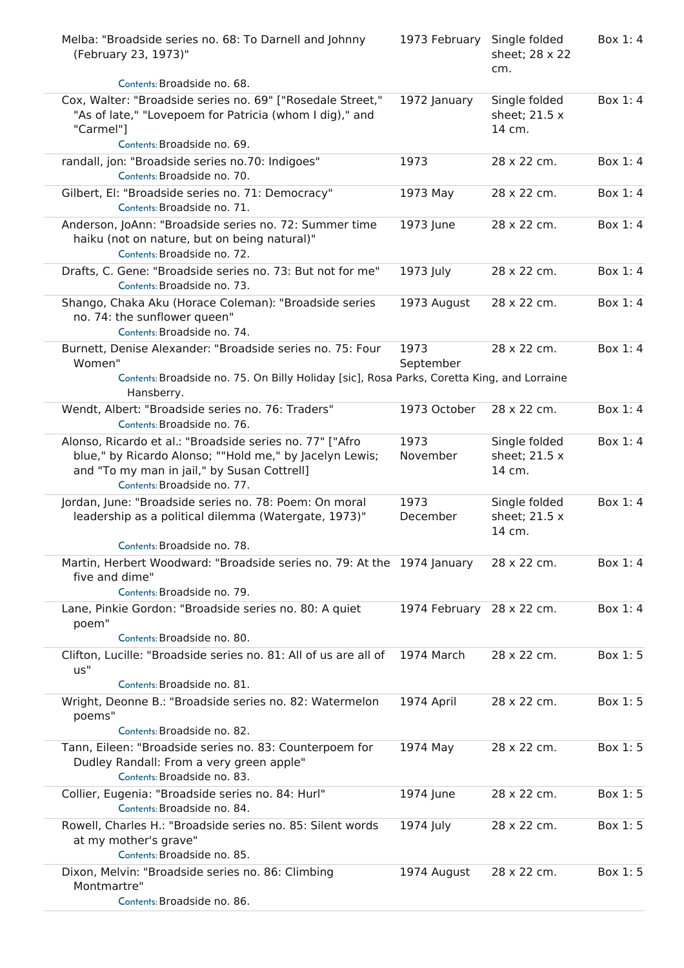| Melba: "Broadside series no. 68: To Darnell and Johnny<br>(February 23, 1973)"                                                                                                                    | 1973 February             | Single folded<br>sheet; 28 x 22<br>cm.   | Box 1:4 |
|---------------------------------------------------------------------------------------------------------------------------------------------------------------------------------------------------|---------------------------|------------------------------------------|---------|
| Contents: Broadside no. 68.                                                                                                                                                                       |                           |                                          |         |
| Cox, Walter: "Broadside series no. 69" ["Rosedale Street,"<br>"As of late," "Lovepoem for Patricia (whom I dig)," and<br>"Carmel"]<br>Contents: Broadside no. 69.                                 | 1972 January              | Single folded<br>sheet; 21.5 x<br>14 cm. | Box 1:4 |
| randall, jon: "Broadside series no.70: Indigoes"<br>Contents: Broadside no. 70.                                                                                                                   | 1973                      | 28 x 22 cm.                              | Box 1:4 |
| Gilbert, El: "Broadside series no. 71: Democracy"<br>Contents: Broadside no. 71.                                                                                                                  | 1973 May                  | 28 x 22 cm.                              | Box 1:4 |
| Anderson, JoAnn: "Broadside series no. 72: Summer time<br>haiku (not on nature, but on being natural)"<br>Contents: Broadside no. 72.                                                             | 1973 June                 | 28 x 22 cm.                              | Box 1:4 |
| Drafts, C. Gene: "Broadside series no. 73: But not for me"<br>Contents: Broadside no. 73.                                                                                                         | 1973 July                 | 28 x 22 cm.                              | Box 1:4 |
| Shango, Chaka Aku (Horace Coleman): "Broadside series<br>no. 74: the sunflower queen"<br>Contents: Broadside no. 74.                                                                              | 1973 August               | 28 x 22 cm.                              | Box 1:4 |
| Burnett, Denise Alexander: "Broadside series no. 75: Four<br>Women"                                                                                                                               | 1973<br>September         | 28 x 22 cm.                              | Box 1:4 |
| Contents: Broadside no. 75. On Billy Holiday [sic], Rosa Parks, Coretta King, and Lorraine<br>Hansberry.                                                                                          |                           |                                          |         |
| Wendt, Albert: "Broadside series no. 76: Traders"<br>Contents: Broadside no. 76.                                                                                                                  | 1973 October              | 28 x 22 cm.                              | Box 1:4 |
| Alonso, Ricardo et al.: "Broadside series no. 77" ["Afro<br>blue," by Ricardo Alonso; ""Hold me," by Jacelyn Lewis;<br>and "To my man in jail," by Susan Cottrell]<br>Contents: Broadside no. 77. | 1973<br>November          | Single folded<br>sheet; 21.5 x<br>14 cm. | Box 1:4 |
| Jordan, June: "Broadside series no. 78: Poem: On moral<br>leadership as a political dilemma (Watergate, 1973)"                                                                                    | 1973<br>December          | Single folded<br>sheet; 21.5 x<br>14 cm. | Box 1:4 |
| Contents: Broadside no. 78.<br>Martin, Herbert Woodward: "Broadside series no. 79: At the 1974 January<br>five and dime"<br>Contents: Broadside no. 79.                                           |                           | 28 x 22 cm.                              | Box 1:4 |
| Lane, Pinkie Gordon: "Broadside series no. 80: A quiet<br>poem"<br>Contents: Broadside no. 80.                                                                                                    | 1974 February 28 x 22 cm. |                                          | Box 1:4 |
| Clifton, Lucille: "Broadside series no. 81: All of us are all of<br>US''                                                                                                                          | 1974 March                | 28 x 22 cm.                              | Box 1:5 |
| Contents: Broadside no. 81.                                                                                                                                                                       |                           |                                          |         |
| Wright, Deonne B.: "Broadside series no. 82: Watermelon<br>poems"<br>Contents: Broadside no. 82.                                                                                                  | 1974 April                | 28 x 22 cm.                              | Box 1:5 |
| Tann, Eileen: "Broadside series no. 83: Counterpoem for<br>Dudley Randall: From a very green apple"<br>Contents: Broadside no. 83.                                                                | 1974 May                  | 28 x 22 cm.                              | Box 1:5 |
| Collier, Eugenia: "Broadside series no. 84: Hurl"<br>Contents: Broadside no. 84.                                                                                                                  | 1974 June                 | 28 x 22 cm.                              | Box 1:5 |
| Rowell, Charles H.: "Broadside series no. 85: Silent words<br>at my mother's grave"<br>Contents: Broadside no. 85.                                                                                | 1974 July                 | 28 x 22 cm.                              | Box 1:5 |
| Dixon, Melvin: "Broadside series no. 86: Climbing<br>Montmartre"<br>Contents: Broadside no. 86.                                                                                                   | 1974 August               | 28 x 22 cm.                              | Box 1:5 |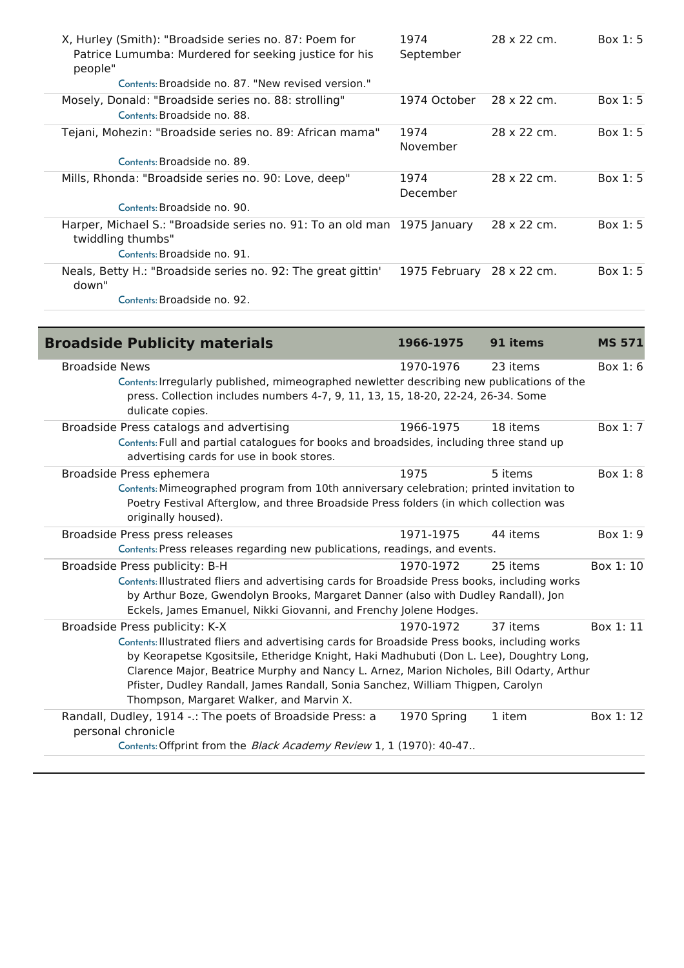| X, Hurley (Smith): "Broadside series no. 87: Poem for<br>Patrice Lumumba: Murdered for seeking justice for his<br>people" | 1974<br>September | 28 x 22 cm. | Box $1:5$ |
|---------------------------------------------------------------------------------------------------------------------------|-------------------|-------------|-----------|
| Contents: Broadside no. 87. "New revised version."                                                                        |                   |             |           |
| Mosely, Donald: "Broadside series no. 88: strolling"<br>Contents: Broadside no. 88.                                       | 1974 October      | 28 x 22 cm. | Box $1:5$ |
| Tejani, Mohezin: "Broadside series no. 89: African mama"                                                                  | 1974<br>November  | 28 x 22 cm. | Box $1:5$ |
| Contents: Broadside no. 89.                                                                                               |                   |             |           |
| Mills, Rhonda: "Broadside series no. 90: Love, deep"                                                                      | 1974<br>December  | 28 x 22 cm. | Box $1:5$ |
| Contents: Broadside no. 90.                                                                                               |                   |             |           |
| Harper, Michael S.: "Broadside series no. 91: To an old man 1975 January<br>twiddling thumbs"                             |                   | 28 x 22 cm. | Box $1:5$ |
| Contents: Broadside no. 91.                                                                                               |                   |             |           |
| Neals, Betty H.: "Broadside series no. 92: The great gittin'<br>down"                                                     | 1975 February     | 28 x 22 cm. | Box 1:5   |
| Contents: Broadside no. 92.                                                                                               |                   |             |           |

| <b>Broadside Publicity materials</b>                                                                                                                                                                                                                                                                                                                                                                                                                  | 1966-1975   | 91 items | <b>MS 571</b> |
|-------------------------------------------------------------------------------------------------------------------------------------------------------------------------------------------------------------------------------------------------------------------------------------------------------------------------------------------------------------------------------------------------------------------------------------------------------|-------------|----------|---------------|
| <b>Broadside News</b><br>Contents: Irregularly published, mimeographed newletter describing new publications of the<br>press. Collection includes numbers 4-7, 9, 11, 13, 15, 18-20, 22-24, 26-34. Some<br>dulicate copies.                                                                                                                                                                                                                           | 1970-1976   | 23 items | Box $1:6$     |
| Broadside Press catalogs and advertising<br>Contents: Full and partial catalogues for books and broadsides, including three stand up<br>advertising cards for use in book stores.                                                                                                                                                                                                                                                                     | 1966-1975   | 18 items | Box 1: 7      |
| Broadside Press ephemera<br>Contents: Mimeographed program from 10th anniversary celebration; printed invitation to<br>Poetry Festival Afterglow, and three Broadside Press folders (in which collection was<br>originally housed).                                                                                                                                                                                                                   | 1975        | 5 items  | Box 1:8       |
| Broadside Press press releases<br>Contents: Press releases regarding new publications, readings, and events.                                                                                                                                                                                                                                                                                                                                          | 1971-1975   | 44 items | Box 1:9       |
| Broadside Press publicity: B-H<br>Contents: Illustrated fliers and advertising cards for Broadside Press books, including works<br>by Arthur Boze, Gwendolyn Brooks, Margaret Danner (also with Dudley Randall), Jon<br>Eckels, James Emanuel, Nikki Giovanni, and Frenchy Jolene Hodges.                                                                                                                                                             | 1970-1972   | 25 items | Box 1:10      |
| Broadside Press publicity: K-X<br>Contents: Illustrated fliers and advertising cards for Broadside Press books, including works<br>by Keorapetse Kgositsile, Etheridge Knight, Haki Madhubuti (Don L. Lee), Doughtry Long,<br>Clarence Major, Beatrice Murphy and Nancy L. Arnez, Marion Nicholes, Bill Odarty, Arthur<br>Pfister, Dudley Randall, James Randall, Sonia Sanchez, William Thigpen, Carolyn<br>Thompson, Margaret Walker, and Marvin X. | 1970-1972   | 37 items | Box 1:11      |
| Randall, Dudley, 1914 -.: The poets of Broadside Press: a<br>personal chronicle<br>Contents: Offprint from the Black Academy Review 1, 1 (1970): 40-47                                                                                                                                                                                                                                                                                                | 1970 Spring | 1 item   | Box 1:12      |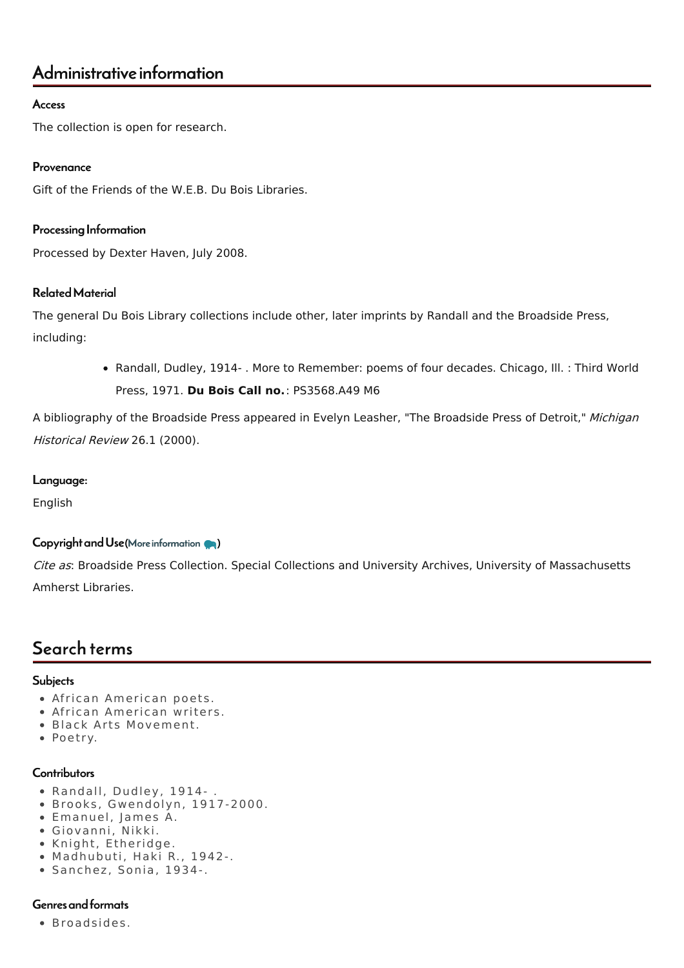## Administrative information

#### Access

The collection is open for research.

#### Provenance

Gift of the Friends of the W.E.B. Du Bois Libraries.

#### Processing Information

Processed by Dexter Haven, July 2008.

#### RelatedMaterial

The general Du Bois Library collections include other, later imprints by Randall and the Broadside Press, including:

> • Randall, Dudley, 1914- . More to Remember: poems of four decades. Chicago, Ill. : Third World Press, 1971. **Du Bois Call no.**: PS3568.A49 M6

A bibliography of the Broadside Press appeared in Evelyn Leasher, "The Broadside Press of Detroit," Michigan Historical Review 26.1 (2000).

#### Language:

English

#### Copyright and Use (More [information](http://scua.library.umass.edu/umarmot/?page_id=690) (a)

Cite as: Broadside Press Collection. Special Collections and University Archives, University of Massachusetts Amherst Libraries.

# Search terms

#### **Subjects**

- African American poets.
- African American writers.
- Black Arts Movement.
- Poetry.

#### **Contributors**

- Randall, Dudley, 1914- .
- Brooks, Gwendolyn, 1917-2000.
- Emanuel, James A.
- Giovanni, Nikki.
- Knight, Etheridge.
- Madhubuti, Haki R., 1942-.
- Sanchez, Sonia, 1934-.

#### Genres and formats

Broadsides.